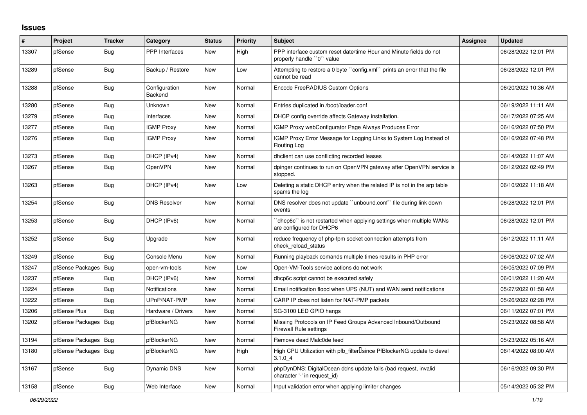## **Issues**

| #     | Project          | <b>Tracker</b> | Category                 | <b>Status</b> | <b>Priority</b> | <b>Subject</b>                                                                                  | <b>Assignee</b> | <b>Updated</b>      |
|-------|------------------|----------------|--------------------------|---------------|-----------------|-------------------------------------------------------------------------------------------------|-----------------|---------------------|
| 13307 | pfSense          | <b>Bug</b>     | <b>PPP</b> Interfaces    | <b>New</b>    | High            | PPP interface custom reset date/time Hour and Minute fields do not<br>properly handle "0" value |                 | 06/28/2022 12:01 PM |
| 13289 | pfSense          | Bug            | Backup / Restore         | <b>New</b>    | Low             | Attempting to restore a 0 byte "config.xml" prints an error that the file<br>cannot be read     |                 | 06/28/2022 12:01 PM |
| 13288 | pfSense          | Bug            | Configuration<br>Backend | <b>New</b>    | Normal          | Encode FreeRADIUS Custom Options                                                                |                 | 06/20/2022 10:36 AM |
| 13280 | pfSense          | Bug            | Unknown                  | New           | Normal          | Entries duplicated in /boot/loader.conf                                                         |                 | 06/19/2022 11:11 AM |
| 13279 | pfSense          | <b>Bug</b>     | Interfaces               | New           | Normal          | DHCP config override affects Gateway installation.                                              |                 | 06/17/2022 07:25 AM |
| 13277 | pfSense          | <b>Bug</b>     | <b>IGMP Proxy</b>        | New           | Normal          | IGMP Proxy webConfigurator Page Always Produces Error                                           |                 | 06/16/2022 07:50 PM |
| 13276 | pfSense          | <b>Bug</b>     | <b>IGMP Proxy</b>        | New           | Normal          | IGMP Proxy Error Message for Logging Links to System Log Instead of<br>Routing Log              |                 | 06/16/2022 07:48 PM |
| 13273 | pfSense          | <b>Bug</b>     | DHCP (IPv4)              | New           | Normal          | dholient can use conflicting recorded leases                                                    |                 | 06/14/2022 11:07 AM |
| 13267 | pfSense          | <b>Bug</b>     | <b>OpenVPN</b>           | New           | Normal          | dpinger continues to run on OpenVPN gateway after OpenVPN service is<br>stopped.                |                 | 06/12/2022 02:49 PM |
| 13263 | pfSense          | <b>Bug</b>     | DHCP (IPv4)              | New           | Low             | Deleting a static DHCP entry when the related IP is not in the arp table<br>spams the log       |                 | 06/10/2022 11:18 AM |
| 13254 | pfSense          | <b>Bug</b>     | <b>DNS Resolver</b>      | New           | Normal          | DNS resolver does not update "unbound.conf" file during link down<br>events                     |                 | 06/28/2022 12:01 PM |
| 13253 | pfSense          | <b>Bug</b>     | DHCP (IPv6)              | New           | Normal          | dhcp6c" is not restarted when applying settings when multiple WANs<br>are configured for DHCP6  |                 | 06/28/2022 12:01 PM |
| 13252 | pfSense          | <b>Bug</b>     | Upgrade                  | New           | Normal          | reduce frequency of php-fpm socket connection attempts from<br>check reload status              |                 | 06/12/2022 11:11 AM |
| 13249 | pfSense          | Bug            | Console Menu             | New           | Normal          | Running playback comands multiple times results in PHP error                                    |                 | 06/06/2022 07:02 AM |
| 13247 | pfSense Packages | Bug            | open-vm-tools            | New           | Low             | Open-VM-Tools service actions do not work                                                       |                 | 06/05/2022 07:09 PM |
| 13237 | pfSense          | Bug            | DHCP (IPv6)              | New           | Normal          | dhcp6c script cannot be executed safely                                                         |                 | 06/01/2022 11:20 AM |
| 13224 | pfSense          | <b>Bug</b>     | <b>Notifications</b>     | New           | Normal          | Email notification flood when UPS (NUT) and WAN send notifications                              |                 | 05/27/2022 01:58 AM |
| 13222 | pfSense          | Bug            | UPnP/NAT-PMP             | New           | Normal          | CARP IP does not listen for NAT-PMP packets                                                     |                 | 05/26/2022 02:28 PM |
| 13206 | pfSense Plus     | Bug            | Hardware / Drivers       | New           | Normal          | SG-3100 LED GPIO hangs                                                                          |                 | 06/11/2022 07:01 PM |
| 13202 | pfSense Packages | Bug            | pfBlockerNG              | New           | Normal          | Missing Protocols on IP Feed Groups Advanced Inbound/Outbound<br><b>Firewall Rule settings</b>  |                 | 05/23/2022 08:58 AM |
| 13194 | pfSense Packages | Bug            | pfBlockerNG              | New           | Normal          | Remove dead Malc0de feed                                                                        |                 | 05/23/2022 05:16 AM |
| 13180 | pfSense Packages | Bug            | pfBlockerNG              | New           | High            | High CPU Utilization with pfb_filter <sup>[]</sup> since PfBlockerNG update to devel<br>3.1.04  |                 | 06/14/2022 08:00 AM |
| 13167 | pfSense          | Bug            | Dynamic DNS              | New           | Normal          | phpDynDNS: DigitalOcean ddns update fails (bad request, invalid<br>character '-' in request id) |                 | 06/16/2022 09:30 PM |
| 13158 | pfSense          | Bug            | Web Interface            | New           | Normal          | Input validation error when applying limiter changes                                            |                 | 05/14/2022 05:32 PM |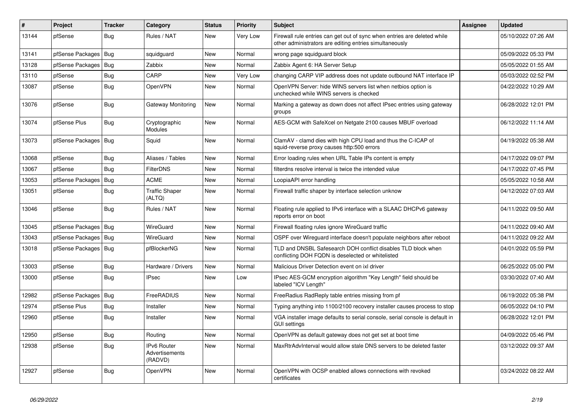| #     | Project                | <b>Tracker</b> | Category                                        | <b>Status</b> | <b>Priority</b> | <b>Subject</b>                                                                                                                      | <b>Assignee</b> | <b>Updated</b>      |
|-------|------------------------|----------------|-------------------------------------------------|---------------|-----------------|-------------------------------------------------------------------------------------------------------------------------------------|-----------------|---------------------|
| 13144 | pfSense                | Bug            | Rules / NAT                                     | <b>New</b>    | Very Low        | Firewall rule entries can get out of sync when entries are deleted while<br>other administrators are editing entries simultaneously |                 | 05/10/2022 07:26 AM |
| 13141 | pfSense Packages       | Bug            | squidguard                                      | New           | Normal          | wrong page squidguard block                                                                                                         |                 | 05/09/2022 05:33 PM |
| 13128 | pfSense Packages       | Bug            | Zabbix                                          | New           | Normal          | Zabbix Agent 6: HA Server Setup                                                                                                     |                 | 05/05/2022 01:55 AM |
| 13110 | pfSense                | <b>Bug</b>     | CARP                                            | New           | Very Low        | changing CARP VIP address does not update outbound NAT interface IP                                                                 |                 | 05/03/2022 02:52 PM |
| 13087 | pfSense                | <b>Bug</b>     | <b>OpenVPN</b>                                  | New           | Normal          | OpenVPN Server: hide WINS servers list when netbios option is<br>unchecked while WINS servers is checked                            |                 | 04/22/2022 10:29 AM |
| 13076 | pfSense                | Bug            | Gateway Monitoring                              | New           | Normal          | Marking a gateway as down does not affect IPsec entries using gateway<br>groups                                                     |                 | 06/28/2022 12:01 PM |
| 13074 | pfSense Plus           | <b>Bug</b>     | Cryptographic<br>Modules                        | <b>New</b>    | Normal          | AES-GCM with SafeXcel on Netgate 2100 causes MBUF overload                                                                          |                 | 06/12/2022 11:14 AM |
| 13073 | pfSense Packages   Bug |                | Squid                                           | New           | Normal          | ClamAV - clamd dies with high CPU load and thus the C-ICAP of<br>squid-reverse proxy causes http:500 errors                         |                 | 04/19/2022 05:38 AM |
| 13068 | pfSense                | Bug            | Aliases / Tables                                | New           | Normal          | Error loading rules when URL Table IPs content is empty                                                                             |                 | 04/17/2022 09:07 PM |
| 13067 | pfSense                | Bug            | <b>FilterDNS</b>                                | <b>New</b>    | Normal          | filterdns resolve interval is twice the intended value                                                                              |                 | 04/17/2022 07:45 PM |
| 13053 | pfSense Packages       | Bug            | <b>ACME</b>                                     | <b>New</b>    | Normal          | LoopiaAPI error handling                                                                                                            |                 | 05/05/2022 10:58 AM |
| 13051 | pfSense                | Bug            | <b>Traffic Shaper</b><br>(ALTQ)                 | <b>New</b>    | Normal          | Firewall traffic shaper by interface selection unknow                                                                               |                 | 04/12/2022 07:03 AM |
| 13046 | pfSense                | <b>Bug</b>     | Rules / NAT                                     | New           | Normal          | Floating rule applied to IPv6 interface with a SLAAC DHCPv6 gateway<br>reports error on boot                                        |                 | 04/11/2022 09:50 AM |
| 13045 | pfSense Packages       | Bug            | WireGuard                                       | <b>New</b>    | Normal          | Firewall floating rules ignore WireGuard traffic                                                                                    |                 | 04/11/2022 09:40 AM |
| 13043 | pfSense Packages       | Bug            | WireGuard                                       | New           | Normal          | OSPF over Wireguard interface doesn't populate neighbors after reboot                                                               |                 | 04/11/2022 09:22 AM |
| 13018 | pfSense Packages       | Bug            | pfBlockerNG                                     | New           | Normal          | TLD and DNSBL Safesearch DOH conflict disables TLD block when<br>conflicting DOH FQDN is deselected or whitelisted                  |                 | 04/01/2022 05:59 PM |
| 13003 | pfSense                | Bug            | Hardware / Drivers                              | <b>New</b>    | Normal          | Malicious Driver Detection event on ixl driver                                                                                      |                 | 06/25/2022 05:00 PM |
| 13000 | pfSense                | <b>Bug</b>     | <b>IPsec</b>                                    | <b>New</b>    | Low             | IPsec AES-GCM encryption algorithm "Key Length" field should be<br>labeled "ICV Lenath"                                             |                 | 03/30/2022 07:40 AM |
| 12982 | pfSense Packages       | <b>Bug</b>     | FreeRADIUS                                      | <b>New</b>    | Normal          | FreeRadius RadReply table entries missing from pf                                                                                   |                 | 06/19/2022 05:38 PM |
| 12974 | pfSense Plus           | Bug            | Installer                                       | <b>New</b>    | Normal          | Typing anything into 1100/2100 recovery installer causes process to stop                                                            |                 | 06/05/2022 04:10 PM |
| 12960 | pfSense                | <b>Bug</b>     | Installer                                       | <b>New</b>    | Normal          | VGA installer image defaults to serial console, serial console is default in<br><b>GUI settings</b>                                 |                 | 06/28/2022 12:01 PM |
| 12950 | pfSense                | <b>Bug</b>     | Routing                                         | New           | Normal          | OpenVPN as default gateway does not get set at boot time                                                                            |                 | 04/09/2022 05:46 PM |
| 12938 | pfSense                | <b>Bug</b>     | <b>IPv6 Router</b><br>Advertisements<br>(RADVD) | New           | Normal          | MaxRtrAdvInterval would allow stale DNS servers to be deleted faster                                                                |                 | 03/12/2022 09:37 AM |
| 12927 | pfSense                | Bug            | <b>OpenVPN</b>                                  | <b>New</b>    | Normal          | OpenVPN with OCSP enabled allows connections with revoked<br>certificates                                                           |                 | 03/24/2022 08:22 AM |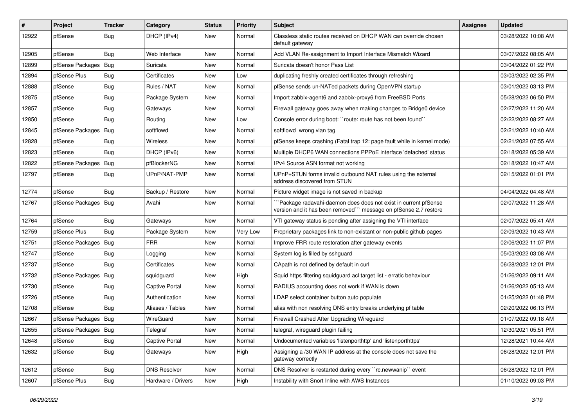| $\#$  | Project                | <b>Tracker</b> | Category            | <b>Status</b> | <b>Priority</b> | <b>Subject</b>                                                                                                                      | <b>Assignee</b> | Updated             |
|-------|------------------------|----------------|---------------------|---------------|-----------------|-------------------------------------------------------------------------------------------------------------------------------------|-----------------|---------------------|
| 12922 | pfSense                | <b>Bug</b>     | DHCP (IPv4)         | New           | Normal          | Classless static routes received on DHCP WAN can override chosen<br>default gateway                                                 |                 | 03/28/2022 10:08 AM |
| 12905 | pfSense                | Bug            | Web Interface       | New           | Normal          | Add VLAN Re-assignment to Import Interface Mismatch Wizard                                                                          |                 | 03/07/2022 08:05 AM |
| 12899 | pfSense Packages   Bug |                | Suricata            | New           | Normal          | Suricata doesn't honor Pass List                                                                                                    |                 | 03/04/2022 01:22 PM |
| 12894 | pfSense Plus           | <b>Bug</b>     | Certificates        | New           | Low             | duplicating freshly created certificates through refreshing                                                                         |                 | 03/03/2022 02:35 PM |
| 12888 | pfSense                | <b>Bug</b>     | Rules / NAT         | New           | Normal          | pfSense sends un-NATed packets during OpenVPN startup                                                                               |                 | 03/01/2022 03:13 PM |
| 12875 | pfSense                | Bug            | Package System      | New           | Normal          | Import zabbix-agent6 and zabbix-proxy6 from FreeBSD Ports                                                                           |                 | 05/28/2022 06:50 PM |
| 12857 | pfSense                | Bug            | Gateways            | New           | Normal          | Firewall gateway goes away when making changes to Bridge0 device                                                                    |                 | 02/27/2022 11:20 AM |
| 12850 | pfSense                | Bug            | Routing             | New           | Low             | Console error during boot: "route: route has not been found"                                                                        |                 | 02/22/2022 08:27 AM |
| 12845 | pfSense Packages       | Bug            | softflowd           | New           | Normal          | softflowd wrong vlan tag                                                                                                            |                 | 02/21/2022 10:40 AM |
| 12828 | pfSense                | Bug            | Wireless            | New           | Normal          | pfSense keeps crashing (Fatal trap 12: page fault while in kernel mode)                                                             |                 | 02/21/2022 07:55 AM |
| 12823 | pfSense                | Bug            | DHCP (IPv6)         | New           | Normal          | Multiple DHCP6 WAN connections PPPoE interface 'defached' status                                                                    |                 | 02/18/2022 05:39 AM |
| 12822 | pfSense Packages       | Bug            | pfBlockerNG         | New           | Normal          | IPv4 Source ASN format not working                                                                                                  |                 | 02/18/2022 10:47 AM |
| 12797 | pfSense                | Bug            | UPnP/NAT-PMP        | New           | Normal          | UPnP+STUN forms invalid outbound NAT rules using the external<br>address discovered from STUN                                       |                 | 02/15/2022 01:01 PM |
| 12774 | pfSense                | Bug            | Backup / Restore    | New           | Normal          | Picture widget image is not saved in backup                                                                                         |                 | 04/04/2022 04:48 AM |
| 12767 | pfSense Packages   Bug |                | Avahi               | New           | Normal          | 'Package radavahi-daemon does does not exist in current pfSense<br>version and it has been removed"" message on pfSense 2.7 restore |                 | 02/07/2022 11:28 AM |
| 12764 | pfSense                | <b>Bug</b>     | Gateways            | New           | Normal          | VTI gateway status is pending after assigning the VTI interface                                                                     |                 | 02/07/2022 05:41 AM |
| 12759 | pfSense Plus           | Bug            | Package System      | New           | Very Low        | Proprietary packages link to non-existant or non-public github pages                                                                |                 | 02/09/2022 10:43 AM |
| 12751 | pfSense Packages       | Bug            | <b>FRR</b>          | New           | Normal          | Improve FRR route restoration after gateway events                                                                                  |                 | 02/06/2022 11:07 PM |
| 12747 | pfSense                | <b>Bug</b>     | Logging             | New           | Normal          | System log is filled by sshguard                                                                                                    |                 | 05/03/2022 03:08 AM |
| 12737 | pfSense                | Bug            | Certificates        | <b>New</b>    | Normal          | CApath is not defined by default in curl                                                                                            |                 | 06/28/2022 12:01 PM |
| 12732 | pfSense Packages       | Bug            | squidguard          | New           | High            | Squid https filtering squidguard acl target list - erratic behaviour                                                                |                 | 01/26/2022 09:11 AM |
| 12730 | pfSense                | <b>Bug</b>     | Captive Portal      | New           | Normal          | RADIUS accounting does not work if WAN is down                                                                                      |                 | 01/26/2022 05:13 AM |
| 12726 | pfSense                | <b>Bug</b>     | Authentication      | New           | Normal          | LDAP select container button auto populate                                                                                          |                 | 01/25/2022 01:48 PM |
| 12708 | pfSense                | <b>Bug</b>     | Aliases / Tables    | New           | Normal          | alias with non resolving DNS entry breaks underlying pf table                                                                       |                 | 02/20/2022 06:13 PM |
| 12667 | pfSense Packages   Bug |                | WireGuard           | <b>New</b>    | Normal          | Firewall Crashed After Upgrading Wireguard                                                                                          |                 | 01/07/2022 09:18 AM |
| 12655 | pfSense Packages   Bug |                | Telegraf            | New           | Normal          | telegraf, wireguard plugin failing                                                                                                  |                 | 12/30/2021 05:51 PM |
| 12648 | pfSense                | Bug            | Captive Portal      | New           | Normal          | Undocumented variables 'listenporthttp' and 'listenporthttps'                                                                       |                 | 12/28/2021 10:44 AM |
| 12632 | pfSense                | Bug            | Gateways            | New           | High            | Assigning a /30 WAN IP address at the console does not save the<br>gateway correctly                                                |                 | 06/28/2022 12:01 PM |
| 12612 | pfSense                | <b>Bug</b>     | <b>DNS Resolver</b> | New           | Normal          | DNS Resolver is restarted during every "rc.newwanip" event                                                                          |                 | 06/28/2022 12:01 PM |
| 12607 | pfSense Plus           | <b>Bug</b>     | Hardware / Drivers  | New           | High            | Instability with Snort Inline with AWS Instances                                                                                    |                 | 01/10/2022 09:03 PM |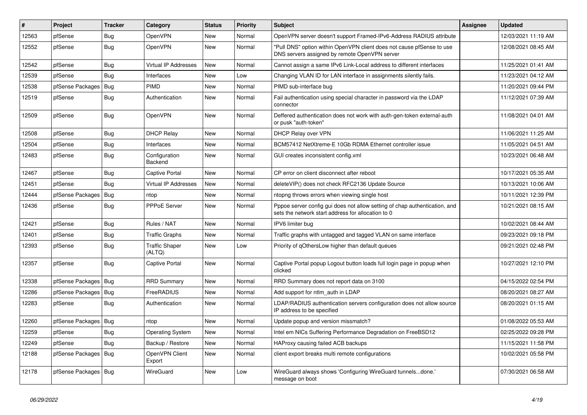| $\vert$ # | Project                | <b>Tracker</b> | Category                        | <b>Status</b> | <b>Priority</b> | <b>Subject</b>                                                                                                                   | <b>Assignee</b> | <b>Updated</b>      |
|-----------|------------------------|----------------|---------------------------------|---------------|-----------------|----------------------------------------------------------------------------------------------------------------------------------|-----------------|---------------------|
| 12563     | pfSense                | <b>Bug</b>     | OpenVPN                         | <b>New</b>    | Normal          | OpenVPN server doesn't support Framed-IPv6-Address RADIUS attribute                                                              |                 | 12/03/2021 11:19 AM |
| 12552     | pfSense                | <b>Bug</b>     | OpenVPN                         | <b>New</b>    | Normal          | "Pull DNS" option within OpenVPN client does not cause pfSense to use<br>DNS servers assigned by remote OpenVPN server           |                 | 12/08/2021 08:45 AM |
| 12542     | pfSense                | Bug            | Virtual IP Addresses            | <b>New</b>    | Normal          | Cannot assign a same IPv6 Link-Local address to different interfaces                                                             |                 | 11/25/2021 01:41 AM |
| 12539     | pfSense                | Bug            | Interfaces                      | <b>New</b>    | Low             | Changing VLAN ID for LAN interface in assignments silently fails.                                                                |                 | 11/23/2021 04:12 AM |
| 12538     | pfSense Packages       | Bug            | PIMD                            | <b>New</b>    | Normal          | PIMD sub-interface bug                                                                                                           |                 | 11/20/2021 09:44 PM |
| 12519     | pfSense                | Bug            | Authentication                  | <b>New</b>    | Normal          | Fail authentication using special character in password via the LDAP<br>connector                                                |                 | 11/12/2021 07:39 AM |
| 12509     | pfSense                | <b>Bug</b>     | OpenVPN                         | <b>New</b>    | Normal          | Deffered authentication does not work with auth-gen-token external-auth<br>or pusk "auth-token"                                  |                 | 11/08/2021 04:01 AM |
| 12508     | pfSense                | <b>Bug</b>     | <b>DHCP Relay</b>               | <b>New</b>    | Normal          | <b>DHCP Relay over VPN</b>                                                                                                       |                 | 11/06/2021 11:25 AM |
| 12504     | pfSense                | Bug            | Interfaces                      | <b>New</b>    | Normal          | BCM57412 NetXtreme-E 10Gb RDMA Ethernet controller issue                                                                         |                 | 11/05/2021 04:51 AM |
| 12483     | pfSense                | <b>Bug</b>     | Configuration<br>Backend        | <b>New</b>    | Normal          | GUI creates inconsistent config.xml                                                                                              |                 | 10/23/2021 06:48 AM |
| 12467     | pfSense                | Bug            | <b>Captive Portal</b>           | <b>New</b>    | Normal          | CP error on client disconnect after reboot                                                                                       |                 | 10/17/2021 05:35 AM |
| 12451     | pfSense                | Bug            | <b>Virtual IP Addresses</b>     | <b>New</b>    | Normal          | deleteVIP() does not check RFC2136 Update Source                                                                                 |                 | 10/13/2021 10:06 AM |
| 12444     | pfSense Packages   Bug |                | ntop                            | New           | Normal          | ntopng throws errors when viewing single host                                                                                    |                 | 10/11/2021 12:39 PM |
| 12436     | pfSense                | Bug            | PPPoE Server                    | <b>New</b>    | Normal          | Pppoe server config gui does not allow setting of chap authentication, and<br>sets the network start address for allocation to 0 |                 | 10/21/2021 08:15 AM |
| 12421     | pfSense                | <b>Bug</b>     | Rules / NAT                     | <b>New</b>    | Normal          | IPV6 limiter bug                                                                                                                 |                 | 10/02/2021 08:44 AM |
| 12401     | pfSense                | Bug            | <b>Traffic Graphs</b>           | <b>New</b>    | Normal          | Traffic graphs with untagged and tagged VLAN on same interface                                                                   |                 | 09/23/2021 09:18 PM |
| 12393     | pfSense                | <b>Bug</b>     | <b>Traffic Shaper</b><br>(ALTQ) | <b>New</b>    | Low             | Priority of gOthersLow higher than default queues                                                                                |                 | 09/21/2021 02:48 PM |
| 12357     | pfSense                | Bug            | Captive Portal                  | New           | Normal          | Captive Portal popup Logout button loads full login page in popup when<br>clicked                                                |                 | 10/27/2021 12:10 PM |
| 12338     | pfSense Packages   Bug |                | <b>RRD Summary</b>              | <b>New</b>    | Normal          | RRD Summary does not report data on 3100                                                                                         |                 | 04/15/2022 02:54 PM |
| 12286     | pfSense Packages   Bug |                | FreeRADIUS                      | <b>New</b>    | Normal          | Add support for ntlm auth in LDAP                                                                                                |                 | 08/20/2021 08:27 AM |
| 12283     | pfSense                | Bug            | Authentication                  | New           | Normal          | LDAP/RADIUS authentication servers configuration does not allow source<br>IP address to be specified                             |                 | 08/20/2021 01:15 AM |
| 12260     | pfSense Packages   Bug |                | ntop                            | <b>New</b>    | Normal          | Update popup and version missmatch?                                                                                              |                 | 01/08/2022 05:53 AM |
| 12259     | pfSense                | Bug            | <b>Operating System</b>         | <b>New</b>    | Normal          | Intel em NICs Suffering Performance Degradation on FreeBSD12                                                                     |                 | 02/25/2022 09:28 PM |
| 12249     | pfSense                | Bug            | Backup / Restore                | <b>New</b>    | Normal          | HAProxy causing failed ACB backups                                                                                               |                 | 11/15/2021 11:58 PM |
| 12188     | pfSense Packages   Bug |                | OpenVPN Client<br>Export        | <b>New</b>    | Normal          | client export breaks multi remote configurations                                                                                 |                 | 10/02/2021 05:58 PM |
| 12178     | pfSense Packages   Bug |                | WireGuard                       | <b>New</b>    | Low             | WireGuard always shows 'Configuring WireGuard tunnelsdone.'<br>message on boot                                                   |                 | 07/30/2021 06:58 AM |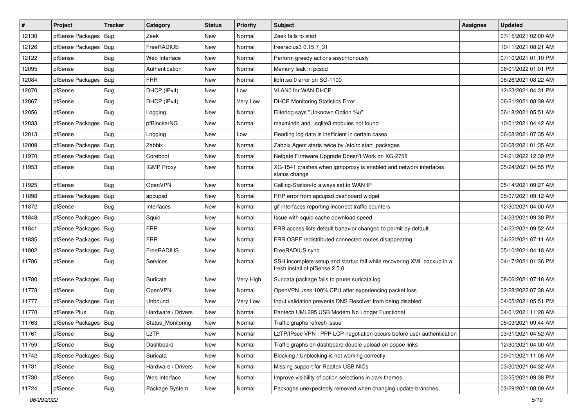| #     | Project                | <b>Tracker</b> | Category           | <b>Status</b> | Priority  | <b>Subject</b>                                                                                           | <b>Assignee</b> | <b>Updated</b>      |
|-------|------------------------|----------------|--------------------|---------------|-----------|----------------------------------------------------------------------------------------------------------|-----------------|---------------------|
| 12130 | pfSense Packages   Bug |                | Zeek               | New           | Normal    | Zeek fails to start                                                                                      |                 | 07/15/2021 02:00 AM |
| 12126 | pfSense Packages   Bug |                | FreeRADIUS         | <b>New</b>    | Normal    | freeradius3 0.15.7 31                                                                                    |                 | 10/11/2021 08:21 AM |
| 12122 | pfSense                | Bug            | Web Interface      | New           | Normal    | Perform greedy actions asychronously                                                                     |                 | 07/10/2021 01:10 PM |
| 12095 | pfSense                | Bug            | Authentication     | New           | Normal    | Memory leak in pcscd                                                                                     |                 | 06/01/2022 01:01 PM |
| 12084 | pfSense Packages       | Bug            | <b>FRR</b>         | New           | Normal    | libfrr.so.0 error on SG-1100                                                                             |                 | 06/26/2021 08:22 AM |
| 12070 | pfSense                | Bug            | DHCP (IPv4)        | New           | Low       | VLAN0 for WAN DHCP                                                                                       |                 | 12/23/2021 04:31 PM |
| 12067 | pfSense                | Bug            | DHCP (IPv4)        | New           | Very Low  | <b>DHCP Monitoring Statistics Error</b>                                                                  |                 | 06/21/2021 08:39 AM |
| 12056 | pfSense                | Bug            | Logging            | New           | Normal    | Filterlog says "Unknown Option %u"                                                                       |                 | 06/18/2021 05:51 AM |
| 12033 | pfSense Packages   Bug |                | pfBlockerNG        | New           | Normal    | maxmindb and _sqlite3 modules not found                                                                  |                 | 10/01/2021 04:42 AM |
| 12013 | pfSense                | Bug            | Logging            | <b>New</b>    | Low       | Reading log data is inefficient in certain cases                                                         |                 | 06/08/2021 07:35 AM |
| 12009 | pfSense Packages   Bug |                | Zabbix             | New           | Normal    | Zabbix Agent starts twice by /etc/rc.start packages                                                      |                 | 06/08/2021 01:35 AM |
| 11970 | pfSense Packages   Bug |                | Coreboot           | New           | Normal    | Netgate Firmware Upgrade Doesn't Work on XG-2758                                                         |                 | 04/21/2022 12:39 PM |
| 11953 | pfSense                | Bug            | <b>IGMP Proxy</b>  | New           | Normal    | XG-1541 crashes when igmpproxy is enabled and network interfaces<br>status change                        |                 | 05/24/2021 04:55 PM |
| 11925 | pfSense                | Bug            | OpenVPN            | <b>New</b>    | Normal    | Calling-Station-Id always set to WAN IP                                                                  |                 | 05/14/2021 09:27 AM |
| 11898 | pfSense Packages   Bug |                | apcupsd            | New           | Normal    | PHP error from apcupsd dashboard widget                                                                  |                 | 05/07/2021 09:12 AM |
| 11872 | pfSense                | Bug            | Interfaces         | New           | Normal    | gif interfaces reporting incorrect traffic counters                                                      |                 | 12/30/2021 04:00 AM |
| 11848 | pfSense Packages   Bug |                | Squid              | <b>New</b>    | Normal    | Issue with squid cache download speed                                                                    |                 | 04/23/2021 09:30 PM |
| 11841 | pfSense Packages   Bug |                | <b>FRR</b>         | New           | Normal    | FRR access lists default bahavior changed to permit by default                                           |                 | 04/22/2021 09:52 AM |
| 11835 | pfSense Packages   Bug |                | <b>FRR</b>         | New           | Normal    | FRR OSPF redistributed connected routes disappearing                                                     |                 | 04/22/2021 07:11 AM |
| 11802 | pfSense Packages   Bug |                | FreeRADIUS         | New           | Normal    | FreeRADIUS sync                                                                                          |                 | 05/10/2021 04:18 AM |
| 11786 | pfSense                | <b>Bug</b>     | Services           | New           | Normal    | SSH incomplete setup and startup fail while recovering XML backup in a<br>fresh install of pfSense 2.5.0 |                 | 04/17/2021 01:36 PM |
| 11780 | pfSense Packages   Bug |                | Suricata           | New           | Very High | Suricata package fails to prune suricata.log                                                             |                 | 08/06/2021 07:18 AM |
| 11778 | pfSense                | Bug            | OpenVPN            | New           | Normal    | OpenVPN uses 100% CPU after experiencing packet loss                                                     |                 | 02/28/2022 07:38 AM |
| 11777 | pfSense Packages       | Bug            | Unbound            | New           | Very Low  | Input validation prevents DNS Resolver from being disabled                                               |                 | 04/05/2021 05:51 PM |
| 11770 | pfSense Plus           | Bug            | Hardware / Drivers | New           | Normal    | Pantech UML295 USB Modem No Longer Functional                                                            |                 | 04/01/2021 11:28 AM |
| 11763 | pfSense Packages   Bug |                | Status Monitoring  | <b>New</b>    | Normal    | Traffic graphs refresh issue                                                                             |                 | 05/03/2021 09:44 AM |
| 11761 | pfSense                | Bug            | L <sub>2</sub> TP  | New           | Normal    | L2TP/IPsec VPN : PPP LCP negotiation occurs before user authentication                                   |                 | 03/31/2021 04:52 AM |
| 11759 | pfSense                | <b>Bug</b>     | Dashboard          | New           | Normal    | Traffic graphs on dashboard double upload on pppoe links                                                 |                 | 12/30/2021 04:00 AM |
| 11742 | pfSense Packages       | Bug            | Suricata           | New           | Normal    | Blocking / Unblocking is not working correctly.                                                          |                 | 09/01/2021 11:08 AM |
| 11731 | pfSense                | Bug            | Hardware / Drivers | New           | Normal    | Missing support for Realtek USB NICs                                                                     |                 | 03/30/2021 04:32 AM |
| 11730 | pfSense                | Bug            | Web Interface      | New           | Normal    | Improve visibility of option selections in dark themes                                                   |                 | 03/25/2021 09:38 PM |
| 11724 | pfSense                | Bug            | Package System     | New           | Normal    | Packages unexpectedly removed when changing update branches                                              |                 | 03/29/2021 08:09 AM |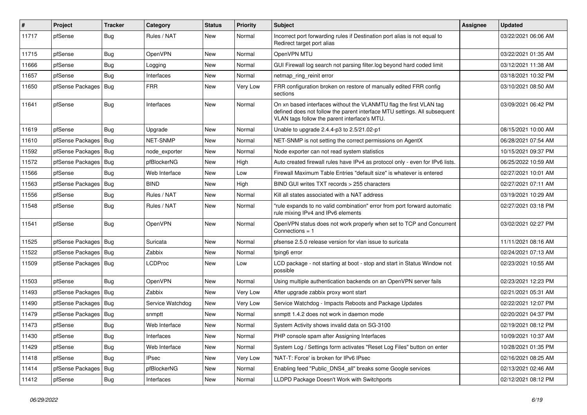| #     | Project                | Tracker    | Category         | <b>Status</b> | Priority | <b>Subject</b>                                                                                                                                                                                  | <b>Assignee</b> | <b>Updated</b>      |
|-------|------------------------|------------|------------------|---------------|----------|-------------------------------------------------------------------------------------------------------------------------------------------------------------------------------------------------|-----------------|---------------------|
| 11717 | pfSense                | Bug        | Rules / NAT      | New           | Normal   | Incorrect port forwarding rules if Destination port alias is not equal to<br>Redirect target port alias                                                                                         |                 | 03/22/2021 06:06 AM |
| 11715 | pfSense                | Bug        | OpenVPN          | New           | Normal   | OpenVPN MTU                                                                                                                                                                                     |                 | 03/22/2021 01:35 AM |
| 11666 | pfSense                | <b>Bug</b> | Logging          | New           | Normal   | GUI Firewall log search not parsing filter.log beyond hard coded limit                                                                                                                          |                 | 03/12/2021 11:38 AM |
| 11657 | pfSense                | Bug        | Interfaces       | New           | Normal   | netmap ring reinit error                                                                                                                                                                        |                 | 03/18/2021 10:32 PM |
| 11650 | pfSense Packages       | Bug        | <b>FRR</b>       | New           | Very Low | FRR configuration broken on restore of manually edited FRR config<br>sections                                                                                                                   |                 | 03/10/2021 08:50 AM |
| 11641 | pfSense                | <b>Bug</b> | Interfaces       | New           | Normal   | On xn based interfaces without the VLANMTU flag the first VLAN tag<br>defined does not follow the parent interface MTU settings. All subsequent<br>VLAN tags follow the parent interface's MTU. |                 | 03/09/2021 06:42 PM |
| 11619 | pfSense                | Bug        | Upgrade          | New           | Normal   | Unable to upgrade 2.4.4-p3 to 2.5/21.02-p1                                                                                                                                                      |                 | 08/15/2021 10:00 AM |
| 11610 | pfSense Packages       | Bug        | NET-SNMP         | New           | Normal   | NET-SNMP is not setting the correct permissions on AgentX                                                                                                                                       |                 | 06/28/2021 07:54 AM |
| 11592 | pfSense Packages       | Bug        | node exporter    | New           | Normal   | Node exporter can not read system statistics                                                                                                                                                    |                 | 10/15/2021 09:37 PM |
| 11572 | pfSense Packages       | Bug        | pfBlockerNG      | New           | High     | Auto created firewall rules have IPv4 as protocol only - even for IPv6 lists.                                                                                                                   |                 | 06/25/2022 10:59 AM |
| 11566 | pfSense                | <b>Bug</b> | Web Interface    | New           | Low      | Firewall Maximum Table Entries "default size" is whatever is entered                                                                                                                            |                 | 02/27/2021 10:01 AM |
| 11563 | pfSense Packages       | Bug        | <b>BIND</b>      | <b>New</b>    | High     | BIND GUI writes TXT records > 255 characters                                                                                                                                                    |                 | 02/27/2021 07:11 AM |
| 11556 | pfSense                | <b>Bug</b> | Rules / NAT      | New           | Normal   | Kill all states associated with a NAT address                                                                                                                                                   |                 | 03/19/2021 10:29 AM |
| 11548 | pfSense                | Bug        | Rules / NAT      | New           | Normal   | "rule expands to no valid combination" error from port forward automatic<br>rule mixing IPv4 and IPv6 elements                                                                                  |                 | 02/27/2021 03:18 PM |
| 11541 | pfSense                | Bug        | OpenVPN          | New           | Normal   | OpenVPN status does not work properly when set to TCP and Concurrent<br>Connections $= 1$                                                                                                       |                 | 03/02/2021 02:27 PM |
| 11525 | pfSense Packages   Bug |            | Suricata         | New           | Normal   | pfsense 2.5.0 release version for vlan issue to suricata                                                                                                                                        |                 | 11/11/2021 08:16 AM |
| 11522 | pfSense Packages   Bug |            | Zabbix           | New           | Normal   | fping6 error                                                                                                                                                                                    |                 | 02/24/2021 07:13 AM |
| 11509 | pfSense Packages   Bug |            | LCDProc          | New           | Low      | LCD package - not starting at boot - stop and start in Status Window not<br>possible                                                                                                            |                 | 02/23/2021 10:55 AM |
| 11503 | pfSense                | <b>Bug</b> | <b>OpenVPN</b>   | New           | Normal   | Using multiple authentication backends on an OpenVPN server fails                                                                                                                               |                 | 02/23/2021 12:23 PM |
| 11493 | pfSense Packages       | Bug        | Zabbix           | New           | Very Low | After upgrade zabbix proxy wont start                                                                                                                                                           |                 | 02/21/2021 05:31 AM |
| 11490 | pfSense Packages       | Bug        | Service Watchdog | New           | Very Low | Service Watchdog - Impacts Reboots and Package Updates                                                                                                                                          |                 | 02/22/2021 12:07 PM |
| 11479 | pfSense Packages       | Bug        | snmptt           | New           | Normal   | snmptt 1.4.2 does not work in daemon mode                                                                                                                                                       |                 | 02/20/2021 04:37 PM |
| 11473 | pfSense                | <b>Bug</b> | Web Interface    | <b>New</b>    | Normal   | System Activity shows invalid data on SG-3100                                                                                                                                                   |                 | 02/19/2021 08:12 PM |
| 11430 | pfSense                | <b>Bug</b> | Interfaces       | New           | Normal   | PHP console spam after Assigning Interfaces                                                                                                                                                     |                 | 10/09/2021 10:37 AM |
| 11429 | pfSense                | <b>Bug</b> | Web Interface    | New           | Normal   | System Log / Settings form activates "Reset Log Files" button on enter                                                                                                                          |                 | 10/28/2021 01:35 PM |
| 11418 | pfSense                | Bug        | <b>IPsec</b>     | New           | Very Low | 'NAT-T: Force' is broken for IPv6 IPsec                                                                                                                                                         |                 | 02/16/2021 08:25 AM |
| 11414 | pfSense Packages       | Bug        | pfBlockerNG      | New           | Normal   | Enabling feed "Public_DNS4_all" breaks some Google services                                                                                                                                     |                 | 02/13/2021 02:46 AM |
| 11412 | pfSense                | Bug        | Interfaces       | New           | Normal   | LLDPD Package Doesn't Work with Switchports                                                                                                                                                     |                 | 02/12/2021 08:12 PM |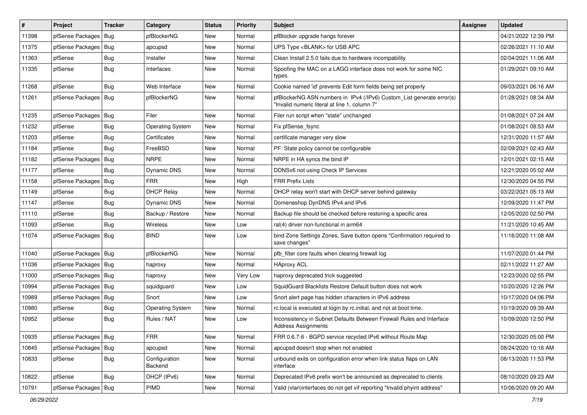| #     | Project                | <b>Tracker</b> | Category                 | <b>Status</b> | <b>Priority</b> | Subject                                                                                                                | <b>Assignee</b> | <b>Updated</b>      |
|-------|------------------------|----------------|--------------------------|---------------|-----------------|------------------------------------------------------------------------------------------------------------------------|-----------------|---------------------|
| 11398 | pfSense Packages       | Bug            | pfBlockerNG              | New           | Normal          | pfBlocker upgrade hangs forever                                                                                        |                 | 04/21/2022 12:39 PM |
| 11375 | pfSense Packages   Bug |                | apcupsd                  | <b>New</b>    | Normal          | UPS Type <blank> for USB APC</blank>                                                                                   |                 | 02/26/2021 11:10 AM |
| 11363 | pfSense                | <b>Bug</b>     | Installer                | New           | Normal          | Clean Install 2.5.0 fails due to hardware incompability                                                                |                 | 02/04/2021 11:06 AM |
| 11335 | pfSense                | Bug            | Interfaces               | New           | Normal          | Spoofing the MAC on a LAGG interface does not work for some NIC<br>types.                                              |                 | 01/29/2021 09:10 AM |
| 11268 | pfSense                | Bug            | Web Interface            | New           | Normal          | Cookie named 'id' prevents Edit form fields being set properly                                                         |                 | 09/03/2021 06:16 AM |
| 11261 | pfSense Packages   Bug |                | pfBlockerNG              | New           | Normal          | pfBlockerNG ASN numbers in IPv4 (/IPv6) Custom_List generate error(s)<br>"Invalid numeric literal at line 1, column 7" |                 | 01/28/2021 08:34 AM |
| 11235 | pfSense Packages   Bug |                | Filer                    | <b>New</b>    | Normal          | Filer run script when "state" unchanged                                                                                |                 | 01/08/2021 07:24 AM |
| 11232 | pfSense                | <b>Bug</b>     | <b>Operating System</b>  | <b>New</b>    | Normal          | Fix pfSense_fsync                                                                                                      |                 | 01/08/2021 08:53 AM |
| 11203 | pfSense                | Bug            | Certificates             | New           | Normal          | certificate manager very slow                                                                                          |                 | 12/31/2020 11:57 AM |
| 11184 | pfSense                | Bug            | FreeBSD                  | New           | Normal          | PF: State policy cannot be configurable                                                                                |                 | 02/09/2021 02:43 AM |
| 11182 | pfSense Packages       | Bug            | <b>NRPE</b>              | <b>New</b>    | Normal          | NRPE in HA syncs the bind IP                                                                                           |                 | 12/01/2021 02:15 AM |
| 11177 | pfSense                | <b>Bug</b>     | <b>Dynamic DNS</b>       | New           | Normal          | DDNSv6 not using Check IP Services                                                                                     |                 | 12/21/2020 05:02 AM |
| 11158 | pfSense Packages   Bug |                | <b>FRR</b>               | New           | High            | <b>FRR Prefix Lists</b>                                                                                                |                 | 12/30/2020 04:55 PM |
| 11149 | pfSense                | <b>Bug</b>     | <b>DHCP Relay</b>        | New           | Normal          | DHCP relay won't start with DHCP server behind gateway                                                                 |                 | 03/22/2021 05:13 AM |
| 11147 | pfSense                | Bug            | Dynamic DNS              | New           | Normal          | Domeneshop DynDNS IPv4 and IPv6                                                                                        |                 | 12/09/2020 11:47 PM |
| 11110 | pfSense                | Bug            | Backup / Restore         | <b>New</b>    | Normal          | Backup file should be checked before restoring a specific area                                                         |                 | 12/05/2020 02:50 PM |
| 11093 | pfSense                | <b>Bug</b>     | Wireless                 | New           | Low             | ral(4) driver non-functional in arm64                                                                                  |                 | 11/21/2020 10:45 AM |
| 11074 | pfSense Packages   Bug |                | <b>BIND</b>              | New           | Low             | bind Zone Settings Zones, Save button opens "Confirmation required to<br>save changes"                                 |                 | 11/16/2020 11:08 AM |
| 11040 | pfSense Packages   Bug |                | pfBlockerNG              | <b>New</b>    | Normal          | pfb filter core faults when clearing firewall log                                                                      |                 | 11/07/2020 01:44 PM |
| 11036 | pfSense Packages   Bug |                | haproxy                  | <b>New</b>    | Normal          | <b>HAproxy ACL</b>                                                                                                     |                 | 02/11/2022 11:27 AM |
| 11000 | pfSense Packages   Bug |                | haproxy                  | New           | Very Low        | haproxy deprecated trick suggested                                                                                     |                 | 12/23/2020 02:55 PM |
| 10994 | pfSense Packages   Bug |                | squidguard               | New           | Low             | SquidGuard Blacklists Restore Default button does not work                                                             |                 | 10/20/2020 12:26 PM |
| 10989 | pfSense Packages   Bug |                | Snort                    | <b>New</b>    | Low             | Snort alert page has hidden characters in IPv6 address                                                                 |                 | 10/17/2020 04:06 PM |
| 10980 | pfSense                | <b>Bug</b>     | <b>Operating System</b>  | New           | Normal          | rc.local is executed at login by rc.initial, and not at boot time.                                                     |                 | 10/19/2020 09:39 AM |
| 10952 | pfSense                | Bug            | Rules / NAT              | New           | Low             | Inconsistency in Subnet Defaults Between Firewall Rules and Interface<br><b>Address Assignments</b>                    |                 | 10/09/2020 12:50 PM |
| 10935 | pfSense Packages   Bug |                | <b>FRR</b>               | New           | Normal          | FRR 0.6.7-6 - BGPD service recycled IPv6 without Route Map                                                             |                 | 12/30/2020 05:00 PM |
| 10845 | pfSense Packages       | Bug            | apcupsd                  | <b>New</b>    | Normal          | apcupsd doesn't stop when not enabled                                                                                  |                 | 08/24/2020 10:16 AM |
| 10833 | pfSense                | <b>Bug</b>     | Configuration<br>Backend | New           | Normal          | unbound exits on configuration error when link status flaps on LAN<br>interface                                        |                 | 08/13/2020 11:53 PM |
| 10822 | pfSense                | Bug            | DHCP (IPv6)              | New           | Normal          | Deprecated IPv6 prefix won't be announced as deprecated to clients                                                     |                 | 08/10/2020 09:23 AM |
| 10791 | pfSense Packages   Bug |                | PIMD                     | New           | Normal          | Valid (vlan)interfaces do not get vif reporting "Invalid phyint address"                                               |                 | 10/06/2020 09:20 AM |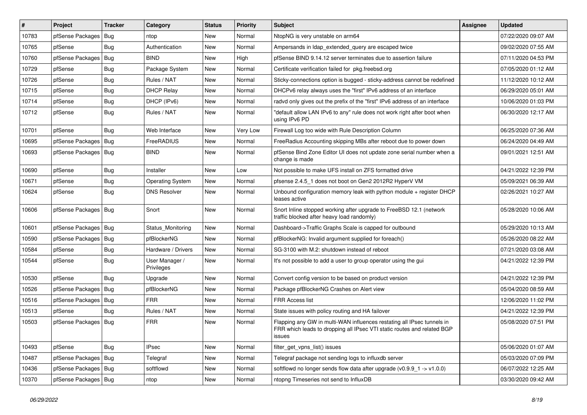| $\vert$ # | Project                | <b>Tracker</b> | Category                     | <b>Status</b> | <b>Priority</b> | Subject                                                                                                                                                     | <b>Assignee</b> | <b>Updated</b>      |
|-----------|------------------------|----------------|------------------------------|---------------|-----------------|-------------------------------------------------------------------------------------------------------------------------------------------------------------|-----------------|---------------------|
| 10783     | pfSense Packages       | Bug            | ntop                         | New           | Normal          | NtopNG is very unstable on arm64                                                                                                                            |                 | 07/22/2020 09:07 AM |
| 10765     | pfSense                | Bug            | Authentication               | New           | Normal          | Ampersands in Idap_extended_query are escaped twice                                                                                                         |                 | 09/02/2020 07:55 AM |
| 10760     | pfSense Packages       | Bug            | <b>BIND</b>                  | New           | High            | pfSense BIND 9.14.12 server terminates due to assertion failure                                                                                             |                 | 07/11/2020 04:53 PM |
| 10729     | pfSense                | <b>Bug</b>     | Package System               | New           | Normal          | Certificate verification failed for pkg.freebsd.org                                                                                                         |                 | 07/05/2020 01:12 AM |
| 10726     | pfSense                | Bug            | Rules / NAT                  | New           | Normal          | Sticky-connections option is bugged - sticky-address cannot be redefined                                                                                    |                 | 11/12/2020 10:12 AM |
| 10715     | pfSense                | <b>Bug</b>     | <b>DHCP Relay</b>            | New           | Normal          | DHCPv6 relay always uses the "first" IPv6 address of an interface                                                                                           |                 | 06/29/2020 05:01 AM |
| 10714     | pfSense                | <b>Bug</b>     | DHCP (IPv6)                  | New           | Normal          | radvd only gives out the prefix of the "first" IPv6 address of an interface                                                                                 |                 | 10/06/2020 01:03 PM |
| 10712     | pfSense                | Bug            | Rules / NAT                  | New           | Normal          | "default allow LAN IPv6 to any" rule does not work right after boot when<br>using IPv6 PD                                                                   |                 | 06/30/2020 12:17 AM |
| 10701     | pfSense                | Bug            | Web Interface                | <b>New</b>    | Very Low        | Firewall Log too wide with Rule Description Column                                                                                                          |                 | 06/25/2020 07:36 AM |
| 10695     | pfSense Packages       | Bug            | FreeRADIUS                   | New           | Normal          | FreeRadius Accounting skipping MBs after reboot due to power down                                                                                           |                 | 06/24/2020 04:49 AM |
| 10693     | pfSense Packages       | Bug            | <b>BIND</b>                  | New           | Normal          | pfSense Bind Zone Editor UI does not update zone serial number when a<br>change is made                                                                     |                 | 09/01/2021 12:51 AM |
| 10690     | pfSense                | Bug            | Installer                    | New           | Low             | Not possible to make UFS install on ZFS formatted drive                                                                                                     |                 | 04/21/2022 12:39 PM |
| 10671     | pfSense                | Bug            | <b>Operating System</b>      | New           | Normal          | pfsense 2.4.5 1 does not boot on Gen2 2012R2 HyperV VM                                                                                                      |                 | 05/09/2021 06:39 AM |
| 10624     | pfSense                | Bug            | <b>DNS Resolver</b>          | <b>New</b>    | Normal          | Unbound configuration memory leak with python module + register DHCP<br>leases active                                                                       |                 | 02/26/2021 10:27 AM |
| 10606     | pfSense Packages   Bug |                | Snort                        | <b>New</b>    | Normal          | Snort Inline stopped working after upgrade to FreeBSD 12.1 (network<br>traffic blocked after heavy load randomly)                                           |                 | 05/28/2020 10:06 AM |
| 10601     | pfSense Packages       | Bug            | Status Monitoring            | New           | Normal          | Dashboard->Traffic Graphs Scale is capped for outbound                                                                                                      |                 | 05/29/2020 10:13 AM |
| 10590     | pfSense Packages       | Bug            | pfBlockerNG                  | New           | Normal          | pfBlockerNG: Invalid argument supplied for foreach()                                                                                                        |                 | 05/26/2020 08:22 AM |
| 10584     | pfSense                | <b>Bug</b>     | Hardware / Drivers           | <b>New</b>    | Normal          | SG-3100 with M.2: shutdown instead of reboot                                                                                                                |                 | 07/21/2020 03:08 AM |
| 10544     | pfSense                | Bug            | User Manager /<br>Privileges | New           | Normal          | It's not possible to add a user to group operator using the gui                                                                                             |                 | 04/21/2022 12:39 PM |
| 10530     | pfSense                | Bug            | Upgrade                      | New           | Normal          | Convert config version to be based on product version                                                                                                       |                 | 04/21/2022 12:39 PM |
| 10526     | pfSense Packages       | Bug            | pfBlockerNG                  | <b>New</b>    | Normal          | Package pfBlockerNG Crashes on Alert view                                                                                                                   |                 | 05/04/2020 08:59 AM |
| 10516     | pfSense Packages       | Bug            | <b>FRR</b>                   | New           | Normal          | FRR Access list                                                                                                                                             |                 | 12/06/2020 11:02 PM |
| 10513     | pfSense                | <b>Bug</b>     | Rules / NAT                  | New           | Normal          | State issues with policy routing and HA failover                                                                                                            |                 | 04/21/2022 12:39 PM |
| 10503     | pfSense Packages       | Bug            | <b>FRR</b>                   | New           | Normal          | Flapping any GW in multi-WAN influences restating all IPsec tunnels in<br>FRR which leads to dropping all IPsec VTI static routes and related BGP<br>issues |                 | 05/08/2020 07:51 PM |
| 10493     | pfSense                | <b>Bug</b>     | <b>IPsec</b>                 | New           | Normal          | filter_get_vpns_list() issues                                                                                                                               |                 | 05/06/2020 01:07 AM |
| 10487     | pfSense Packages       | Bug            | Telegraf                     | New           | Normal          | Telegraf package not sending logs to influxdb server                                                                                                        |                 | 05/03/2020 07:09 PM |
| 10436     | pfSense Packages       | <b>Bug</b>     | softflowd                    | New           | Normal          | softflowd no longer sends flow data after upgrade $(v0.9.9 - 1 -> v1.0.0)$                                                                                  |                 | 06/07/2022 12:25 AM |
| 10370     | pfSense Packages   Bug |                | ntop                         | New           | Normal          | ntopng Timeseries not send to InfluxDB                                                                                                                      |                 | 03/30/2020 09:42 AM |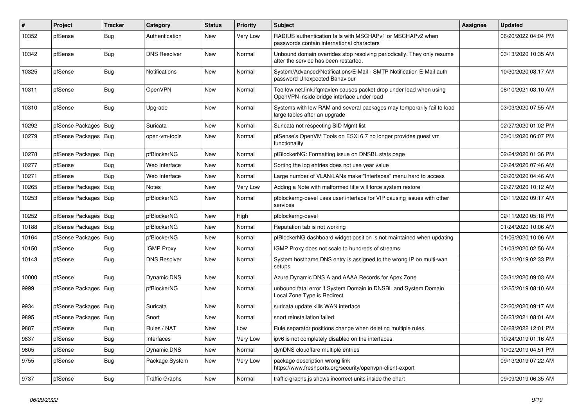| $\pmb{\#}$ | Project          | <b>Tracker</b> | Category              | <b>Status</b> | <b>Priority</b> | <b>Subject</b>                                                                                                    | <b>Assignee</b> | <b>Updated</b>      |
|------------|------------------|----------------|-----------------------|---------------|-----------------|-------------------------------------------------------------------------------------------------------------------|-----------------|---------------------|
| 10352      | pfSense          | <b>Bug</b>     | Authentication        | <b>New</b>    | Very Low        | RADIUS authentication fails with MSCHAPv1 or MSCHAPv2 when<br>passwords contain international characters          |                 | 06/20/2022 04:04 PM |
| 10342      | pfSense          | <b>Bug</b>     | <b>DNS Resolver</b>   | <b>New</b>    | Normal          | Unbound domain overrides stop resolving periodically. They only resume<br>after the service has been restarted.   |                 | 03/13/2020 10:35 AM |
| 10325      | pfSense          | <b>Bug</b>     | <b>Notifications</b>  | <b>New</b>    | Normal          | System/Advanced/Notifications/E-Mail - SMTP Notification E-Mail auth<br>password Unexpected Bahaviour             |                 | 10/30/2020 08:17 AM |
| 10311      | pfSense          | <b>Bug</b>     | <b>OpenVPN</b>        | New           | Normal          | Too low net.link.ifgmaxlen causes packet drop under load when using<br>OpenVPN inside bridge interface under load |                 | 08/10/2021 03:10 AM |
| 10310      | pfSense          | Bug            | Upgrade               | New           | Normal          | Systems with low RAM and several packages may temporarily fail to load<br>large tables after an upgrade           |                 | 03/03/2020 07:55 AM |
| 10292      | pfSense Packages | <b>Bug</b>     | Suricata              | <b>New</b>    | Normal          | Suricata not respecting SID Mgmt list                                                                             |                 | 02/27/2020 01:02 PM |
| 10279      | pfSense Packages | Bug            | open-vm-tools         | <b>New</b>    | Normal          | pfSense's OpenVM Tools on ESXi 6.7 no longer provides guest vm<br>functionality                                   |                 | 03/01/2020 06:07 PM |
| 10278      | pfSense Packages | Bug            | pfBlockerNG           | New           | Normal          | pfBlockerNG: Formatting issue on DNSBL stats page                                                                 |                 | 02/24/2020 01:36 PM |
| 10277      | pfSense          | <b>Bug</b>     | Web Interface         | New           | Normal          | Sorting the log entries does not use year value                                                                   |                 | 02/24/2020 07:46 AM |
| 10271      | pfSense          | Bug            | Web Interface         | New           | Normal          | Large number of VLAN/LANs make "Interfaces" menu hard to access                                                   |                 | 02/20/2020 04:46 AM |
| 10265      | pfSense Packages | Bug            | <b>Notes</b>          | New           | Very Low        | Adding a Note with malformed title will force system restore                                                      |                 | 02/27/2020 10:12 AM |
| 10253      | pfSense Packages | Bug            | pfBlockerNG           | New           | Normal          | pfblockerng-devel uses user interface for VIP causing issues with other<br>services                               |                 | 02/11/2020 09:17 AM |
| 10252      | pfSense Packages | Bug            | pfBlockerNG           | New           | High            | pfblockerng-devel                                                                                                 |                 | 02/11/2020 05:18 PM |
| 10188      | pfSense Packages | Bug            | pfBlockerNG           | New           | Normal          | Reputation tab is not working                                                                                     |                 | 01/24/2020 10:06 AM |
| 10164      | pfSense Packages | Bug            | pfBlockerNG           | New           | Normal          | pfBlockerNG dashboard widget position is not maintained when updating                                             |                 | 01/06/2020 10:06 AM |
| 10150      | pfSense          | <b>Bug</b>     | <b>IGMP Proxy</b>     | New           | Normal          | IGMP Proxy does not scale to hundreds of streams                                                                  |                 | 01/03/2020 02:56 AM |
| 10143      | pfSense          | <b>Bug</b>     | <b>DNS Resolver</b>   | New           | Normal          | System hostname DNS entry is assigned to the wrong IP on multi-wan<br>setups                                      |                 | 12/31/2019 02:33 PM |
| 10000      | pfSense          | <b>Bug</b>     | <b>Dynamic DNS</b>    | New           | Normal          | Azure Dynamic DNS A and AAAA Records for Apex Zone                                                                |                 | 03/31/2020 09:03 AM |
| 9999       | pfSense Packages | Bug            | pfBlockerNG           | New           | Normal          | unbound fatal error if System Domain in DNSBL and System Domain<br>Local Zone Type is Redirect                    |                 | 12/25/2019 08:10 AM |
| 9934       | pfSense Packages | Bug            | Suricata              | <b>New</b>    | Normal          | suricata update kills WAN interface                                                                               |                 | 02/20/2020 09:17 AM |
| 9895       | pfSense Packages | Bug            | Snort                 | New           | Normal          | snort reinstallation failed                                                                                       |                 | 06/23/2021 08:01 AM |
| 9887       | pfSense          | Bug            | Rules / NAT           | <b>New</b>    | Low             | Rule separator positions change when deleting multiple rules                                                      |                 | 06/28/2022 12:01 PM |
| 9837       | pfSense          | <b>Bug</b>     | Interfaces            | <b>New</b>    | Very Low        | ipv6 is not completely disabled on the interfaces                                                                 |                 | 10/24/2019 01:16 AM |
| 9805       | pfSense          | Bug            | <b>Dynamic DNS</b>    | <b>New</b>    | Normal          | dynDNS cloudflare multiple entries                                                                                |                 | 10/02/2019 04:51 PM |
| 9755       | pfSense          | Bug            | Package System        | New           | Very Low        | package description wrong link<br>https://www.freshports.org/security/openvpn-client-export                       |                 | 09/13/2019 07:22 AM |
| 9737       | pfSense          | <b>Bug</b>     | <b>Traffic Graphs</b> | New           | Normal          | traffic-graphs.js shows incorrect units inside the chart                                                          |                 | 09/09/2019 06:35 AM |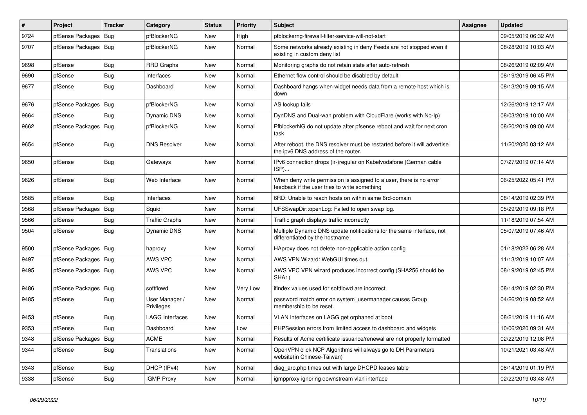| #    | Project                | <b>Tracker</b> | Category                     | <b>Status</b> | <b>Priority</b> | Subject                                                                                                              | <b>Assignee</b> | <b>Updated</b>      |
|------|------------------------|----------------|------------------------------|---------------|-----------------|----------------------------------------------------------------------------------------------------------------------|-----------------|---------------------|
| 9724 | pfSense Packages       | Bug            | pfBlockerNG                  | New           | High            | pfblockerng-firewall-filter-service-will-not-start                                                                   |                 | 09/05/2019 06:32 AM |
| 9707 | pfSense Packages   Bug |                | pfBlockerNG                  | New           | Normal          | Some networks already existing in deny Feeds are not stopped even if<br>existing in custom deny list                 |                 | 08/28/2019 10:03 AM |
| 9698 | pfSense                | <b>Bug</b>     | <b>RRD Graphs</b>            | New           | Normal          | Monitoring graphs do not retain state after auto-refresh                                                             |                 | 08/26/2019 02:09 AM |
| 9690 | pfSense                | <b>Bug</b>     | Interfaces                   | New           | Normal          | Ethernet flow control should be disabled by default                                                                  |                 | 08/19/2019 06:45 PM |
| 9677 | pfSense                | <b>Bug</b>     | Dashboard                    | New           | Normal          | Dashboard hangs when widget needs data from a remote host which is<br>down                                           |                 | 08/13/2019 09:15 AM |
| 9676 | pfSense Packages       | Bug            | pfBlockerNG                  | New           | Normal          | AS lookup fails                                                                                                      |                 | 12/26/2019 12:17 AM |
| 9664 | pfSense                | Bug            | <b>Dynamic DNS</b>           | New           | Normal          | DynDNS and Dual-wan problem with CloudFlare (works with No-Ip)                                                       |                 | 08/03/2019 10:00 AM |
| 9662 | pfSense Packages   Bug |                | pfBlockerNG                  | <b>New</b>    | Normal          | PfblockerNG do not update after pfsense reboot and wait for next cron<br>task                                        |                 | 08/20/2019 09:00 AM |
| 9654 | pfSense                | Bug            | <b>DNS Resolver</b>          | New           | Normal          | After reboot, the DNS resolver must be restarted before it will advertise<br>the ipv6 DNS address of the router.     |                 | 11/20/2020 03:12 AM |
| 9650 | pfSense                | <b>Bug</b>     | Gateways                     | New           | Normal          | IPv6 connection drops (ir-)regular on Kabelvodafone (German cable<br>ISP)                                            |                 | 07/27/2019 07:14 AM |
| 9626 | pfSense                | <b>Bug</b>     | Web Interface                | New           | Normal          | When deny write permission is assigned to a user, there is no error<br>feedback if the user tries to write something |                 | 06/25/2022 05:41 PM |
| 9585 | pfSense                | <b>Bug</b>     | Interfaces                   | New           | Normal          | 6RD: Unable to reach hosts on within same 6rd-domain                                                                 |                 | 08/14/2019 02:39 PM |
| 9568 | pfSense Packages       | Bug            | Squid                        | New           | Normal          | UFSSwapDir::openLog: Failed to open swap log.                                                                        |                 | 05/29/2019 09:18 PM |
| 9566 | pfSense                | <b>Bug</b>     | <b>Traffic Graphs</b>        | New           | Normal          | Traffic graph displays traffic incorrectly                                                                           |                 | 11/18/2019 07:54 AM |
| 9504 | pfSense                | <b>Bug</b>     | <b>Dynamic DNS</b>           | New           | Normal          | Multiple Dynamic DNS update notifications for the same interface, not<br>differentiated by the hostname              |                 | 05/07/2019 07:46 AM |
| 9500 | pfSense Packages   Bug |                | haproxy                      | New           | Normal          | HAproxy does not delete non-applicable action config                                                                 |                 | 01/18/2022 06:28 AM |
| 9497 | pfSense Packages       | Bug            | AWS VPC                      | New           | Normal          | AWS VPN Wizard: WebGUI times out.                                                                                    |                 | 11/13/2019 10:07 AM |
| 9495 | pfSense Packages   Bug |                | AWS VPC                      | New           | Normal          | AWS VPC VPN wizard produces incorrect config (SHA256 should be<br>SHA1)                                              |                 | 08/19/2019 02:45 PM |
| 9486 | pfSense Packages       | Bug            | softflowd                    | New           | Very Low        | ifindex values used for softflowd are incorrect                                                                      |                 | 08/14/2019 02:30 PM |
| 9485 | pfSense                | <b>Bug</b>     | User Manager /<br>Privileges | New           | Normal          | password match error on system_usermanager causes Group<br>membership to be reset.                                   |                 | 04/26/2019 08:52 AM |
| 9453 | pfSense                | <b>Bug</b>     | <b>LAGG Interfaces</b>       | New           | Normal          | VLAN Interfaces on LAGG get orphaned at boot                                                                         |                 | 08/21/2019 11:16 AM |
| 9353 | pfSense                | <b>Bug</b>     | Dashboard                    | New           | Low             | PHPSession errors from limited access to dashboard and widgets                                                       |                 | 10/06/2020 09:31 AM |
| 9348 | pfSense Packages       | Bug            | <b>ACME</b>                  | New           | Normal          | Results of Acme certificate issuance/renewal are not properly formatted                                              |                 | 02/22/2019 12:08 PM |
| 9344 | pfSense                | <b>Bug</b>     | Translations                 | New           | Normal          | OpenVPN click NCP Algorithms will always go to DH Parameters<br>website(in Chinese-Taiwan)                           |                 | 10/21/2021 03:48 AM |
| 9343 | pfSense                | Bug            | DHCP (IPv4)                  | New           | Normal          | diag_arp.php times out with large DHCPD leases table                                                                 |                 | 08/14/2019 01:19 PM |
| 9338 | pfSense                | Bug            | <b>IGMP Proxy</b>            | New           | Normal          | igmpproxy ignoring downstream vlan interface                                                                         |                 | 02/22/2019 03:48 AM |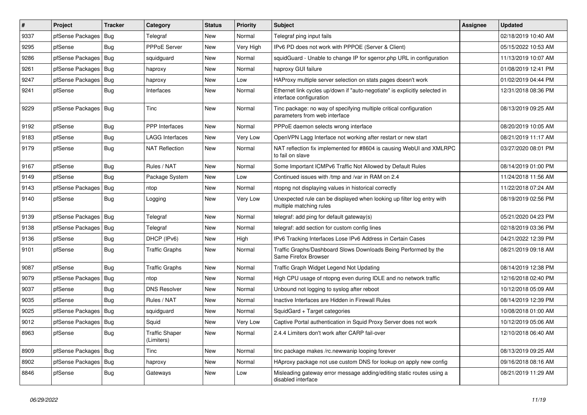| $\pmb{\sharp}$ | Project                | <b>Tracker</b> | Category                     | <b>Status</b> | <b>Priority</b> | Subject                                                                                               | Assignee | <b>Updated</b>      |
|----------------|------------------------|----------------|------------------------------|---------------|-----------------|-------------------------------------------------------------------------------------------------------|----------|---------------------|
| 9337           | pfSense Packages       | Bug            | Telegraf                     | New           | Normal          | Telegraf ping input fails                                                                             |          | 02/18/2019 10:40 AM |
| 9295           | pfSense                | Bug            | <b>PPPoE Server</b>          | New           | Very High       | IPv6 PD does not work with PPPOE (Server & Client)                                                    |          | 05/15/2022 10:53 AM |
| 9286           | pfSense Packages       | Bug            | squidguard                   | New           | Normal          | squidGuard - Unable to change IP for sgerror.php URL in configuration                                 |          | 11/13/2019 10:07 AM |
| 9261           | pfSense Packages   Bug |                | haproxy                      | New           | Normal          | haproxy GUI failure                                                                                   |          | 01/08/2019 12:41 PM |
| 9247           | pfSense Packages       | Bug            | haproxy                      | New           | Low             | HAProxy multiple server selection on stats pages doesn't work                                         |          | 01/02/2019 04:44 PM |
| 9241           | pfSense                | Bug            | Interfaces                   | New           | Normal          | Ethernet link cycles up/down if "auto-negotiate" is explicitly selected in<br>interface configuration |          | 12/31/2018 08:36 PM |
| 9229           | pfSense Packages       | Bug            | <b>Tinc</b>                  | <b>New</b>    | Normal          | Tinc package: no way of specifying multiple critical configuration<br>parameters from web interface   |          | 08/13/2019 09:25 AM |
| 9192           | pfSense                | Bug            | <b>PPP</b> Interfaces        | New           | Normal          | PPPoE daemon selects wrong interface                                                                  |          | 08/20/2019 10:05 AM |
| 9183           | pfSense                | Bug            | <b>LAGG Interfaces</b>       | New           | Very Low        | OpenVPN Lagg Interface not working after restart or new start                                         |          | 08/21/2019 11:17 AM |
| 9179           | pfSense                | Bug            | <b>NAT Reflection</b>        | New           | Normal          | NAT reflection fix implemented for #8604 is causing WebUI and XMLRPC<br>to fail on slave              |          | 03/27/2020 08:01 PM |
| 9167           | pfSense                | <b>Bug</b>     | Rules / NAT                  | New           | Normal          | Some Important ICMPv6 Traffic Not Allowed by Default Rules                                            |          | 08/14/2019 01:00 PM |
| 9149           | pfSense                | Bug            | Package System               | New           | Low             | Continued issues with /tmp and /var in RAM on 2.4                                                     |          | 11/24/2018 11:56 AM |
| 9143           | pfSense Packages       | Bug            | ntop                         | <b>New</b>    | Normal          | ntopng not displaying values in historical correctly                                                  |          | 11/22/2018 07:24 AM |
| 9140           | pfSense                | <b>Bug</b>     | Logging                      | New           | Very Low        | Unexpected rule can be displayed when looking up filter log entry with<br>multiple matching rules     |          | 08/19/2019 02:56 PM |
| 9139           | pfSense Packages       | Bug            | Telegraf                     | New           | Normal          | telegraf: add ping for default gateway(s)                                                             |          | 05/21/2020 04:23 PM |
| 9138           | pfSense Packages       | Bug            | Telegraf                     | <b>New</b>    | Normal          | telegraf: add section for custom config lines                                                         |          | 02/18/2019 03:36 PM |
| 9136           | pfSense                | Bug            | DHCP (IPv6)                  | New           | High            | IPv6 Tracking Interfaces Lose IPv6 Address in Certain Cases                                           |          | 04/21/2022 12:39 PM |
| 9101           | pfSense                | Bug            | <b>Traffic Graphs</b>        | New           | Normal          | Traffic Graphs/Dashboard Slows Downloads Being Performed by the<br>Same Firefox Browser               |          | 08/21/2019 09:18 AM |
| 9087           | pfSense                | Bug            | <b>Traffic Graphs</b>        | New           | Normal          | Traffic Graph Widget Legend Not Updating                                                              |          | 08/14/2019 12:38 PM |
| 9079           | pfSense Packages       | Bug            | ntop                         | New           | Normal          | High CPU usage of ntopng even during IDLE and no network traffic                                      |          | 12/16/2018 02:40 PM |
| 9037           | pfSense                | Bug            | <b>DNS Resolver</b>          | New           | Normal          | Unbound not logging to syslog after reboot                                                            |          | 10/12/2018 05:09 AM |
| 9035           | pfSense                | Bug            | Rules / NAT                  | New           | Normal          | Inactive Interfaces are Hidden in Firewall Rules                                                      |          | 08/14/2019 12:39 PM |
| 9025           | pfSense Packages   Bug |                | squidguard                   | New           | Normal          | SquidGard + Target categories                                                                         |          | 10/08/2018 01:00 AM |
| 9012           | pfSense Packages   Bug |                | Squid                        | New           | Very Low        | Captive Portal authentication in Squid Proxy Server does not work                                     |          | 10/12/2019 05:06 AM |
| 8963           | pfSense                | Bug            | Traffic Shaper<br>(Limiters) | New           | Normal          | 2.4.4 Limiters don't work after CARP fail-over                                                        |          | 12/10/2018 06:40 AM |
| 8909           | pfSense Packages   Bug |                | Tinc                         | New           | Normal          | tinc package makes /rc.newwanip looping forever                                                       |          | 08/13/2019 09:25 AM |
| 8902           | pfSense Packages   Bug |                | haproxy                      | New           | Normal          | HAproxy package not use custom DNS for lookup on apply new config                                     |          | 09/16/2018 08:16 AM |
| 8846           | pfSense                | <b>Bug</b>     | Gateways                     | New           | Low             | Misleading gateway error message adding/editing static routes using a<br>disabled interface           |          | 08/21/2019 11:29 AM |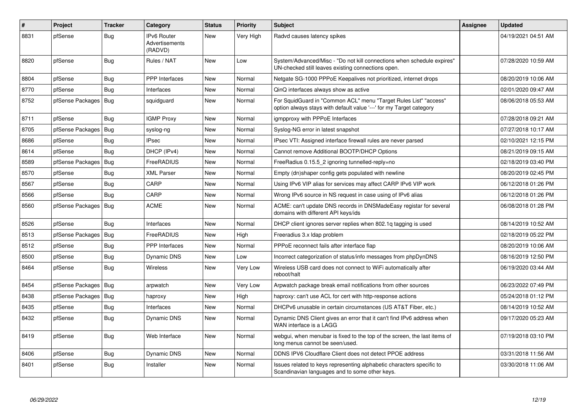| $\vert$ # | Project          | <b>Tracker</b> | Category                                        | <b>Status</b> | <b>Priority</b> | <b>Subject</b>                                                                                                                          | <b>Assignee</b> | <b>Updated</b>      |
|-----------|------------------|----------------|-------------------------------------------------|---------------|-----------------|-----------------------------------------------------------------------------------------------------------------------------------------|-----------------|---------------------|
| 8831      | pfSense          | Bug            | <b>IPv6 Router</b><br>Advertisements<br>(RADVD) | <b>New</b>    | Very High       | Radvd causes latency spikes                                                                                                             |                 | 04/19/2021 04:51 AM |
| 8820      | pfSense          | <b>Bug</b>     | Rules / NAT                                     | New           | Low             | System/Advanced/Misc - "Do not kill connections when schedule expires"<br>UN-checked still leaves existing connections open.            |                 | 07/28/2020 10:59 AM |
| 8804      | pfSense          | Bug            | PPP Interfaces                                  | New           | Normal          | Netgate SG-1000 PPPoE Keepalives not prioritized, internet drops                                                                        |                 | 08/20/2019 10:06 AM |
| 8770      | pfSense          | Bug            | Interfaces                                      | New           | Normal          | QinQ interfaces always show as active                                                                                                   |                 | 02/01/2020 09:47 AM |
| 8752      | pfSense Packages | Bug            | squidguard                                      | <b>New</b>    | Normal          | For SquidGuard in "Common ACL" menu "Target Rules List" "access"<br>option always stays with default value '---' for my Target category |                 | 08/06/2018 05:53 AM |
| 8711      | pfSense          | Bug            | <b>IGMP Proxy</b>                               | <b>New</b>    | Normal          | igmpproxy with PPPoE Interfaces                                                                                                         |                 | 07/28/2018 09:21 AM |
| 8705      | pfSense Packages | Bug            | syslog-ng                                       | <b>New</b>    | Normal          | Syslog-NG error in latest snapshot                                                                                                      |                 | 07/27/2018 10:17 AM |
| 8686      | pfSense          | Bug            | <b>IPsec</b>                                    | <b>New</b>    | Normal          | IPsec VTI: Assigned interface firewall rules are never parsed                                                                           |                 | 02/10/2021 12:15 PM |
| 8614      | pfSense          | Bug            | DHCP (IPv4)                                     | <b>New</b>    | Normal          | Cannot remove Additional BOOTP/DHCP Options                                                                                             |                 | 08/21/2019 09:15 AM |
| 8589      | pfSense Packages | <b>Bug</b>     | FreeRADIUS                                      | <b>New</b>    | Normal          | FreeRadius 0.15.5_2 ignoring tunnelled-reply=no                                                                                         |                 | 02/18/2019 03:40 PM |
| 8570      | pfSense          | <b>Bug</b>     | <b>XML Parser</b>                               | New           | Normal          | Empty (dn)shaper config gets populated with newline                                                                                     |                 | 08/20/2019 02:45 PM |
| 8567      | pfSense          | <b>Bug</b>     | CARP                                            | New           | Normal          | Using IPv6 VIP alias for services may affect CARP IPv6 VIP work                                                                         |                 | 06/12/2018 01:26 PM |
| 8566      | pfSense          | Bug            | CARP                                            | New           | Normal          | Wrong IPv6 source in NS request in case using of IPv6 alias                                                                             |                 | 06/12/2018 01:26 PM |
| 8560      | pfSense Packages | Bug            | <b>ACME</b>                                     | <b>New</b>    | Normal          | ACME: can't update DNS records in DNSMadeEasy registar for several<br>domains with different API keys/ids                               |                 | 06/08/2018 01:28 PM |
| 8526      | pfSense          | Bug            | Interfaces                                      | New           | Normal          | DHCP client ignores server replies when 802.1g tagging is used                                                                          |                 | 08/14/2019 10:52 AM |
| 8513      | pfSense Packages | Bug            | FreeRADIUS                                      | <b>New</b>    | High            | Freeradius 3.x Idap problem                                                                                                             |                 | 02/18/2019 05:22 PM |
| 8512      | pfSense          | Bug            | <b>PPP</b> Interfaces                           | <b>New</b>    | Normal          | PPPoE reconnect fails after interface flap                                                                                              |                 | 08/20/2019 10:06 AM |
| 8500      | pfSense          | <b>Bug</b>     | <b>Dynamic DNS</b>                              | <b>New</b>    | Low             | Incorrect categorization of status/info messages from phpDynDNS                                                                         |                 | 08/16/2019 12:50 PM |
| 8464      | pfSense          | Bug            | Wireless                                        | <b>New</b>    | Very Low        | Wireless USB card does not connect to WiFi automatically after<br>reboot/halt                                                           |                 | 06/19/2020 03:44 AM |
| 8454      | pfSense Packages | Bug            | arpwatch                                        | <b>New</b>    | Very Low        | Arpwatch package break email notifications from other sources                                                                           |                 | 06/23/2022 07:49 PM |
| 8438      | pfSense Packages | <b>Bug</b>     | haproxy                                         | New           | High            | haproxy: can't use ACL for cert with http-response actions                                                                              |                 | 05/24/2018 01:12 PM |
| 8435      | pfSense          | <b>Bug</b>     | Interfaces                                      | New           | Normal          | DHCPv6 unusable in certain circumstances (US AT&T Fiber, etc.)                                                                          |                 | 08/14/2019 10:52 AM |
| 8432      | pfSense          | <b>Bug</b>     | <b>Dynamic DNS</b>                              | New           | Normal          | Dynamic DNS Client gives an error that it can't find IPv6 address when<br>WAN interface is a LAGG                                       |                 | 09/17/2020 05:23 AM |
| 8419      | pfSense          | <b>Bug</b>     | Web Interface                                   | New           | Normal          | webgui, when menubar is fixed to the top of the screen, the last items of<br>long menus cannot be seen/used.                            |                 | 07/19/2018 03:10 PM |
| 8406      | pfSense          | Bug            | <b>Dynamic DNS</b>                              | <b>New</b>    | Normal          | DDNS IPV6 Cloudflare Client does not detect PPOE address                                                                                |                 | 03/31/2018 11:56 AM |
| 8401      | pfSense          | <b>Bug</b>     | Installer                                       | <b>New</b>    | Normal          | Issues related to keys representing alphabetic characters specific to<br>Scandinavian languages and to some other keys.                 |                 | 03/30/2018 11:06 AM |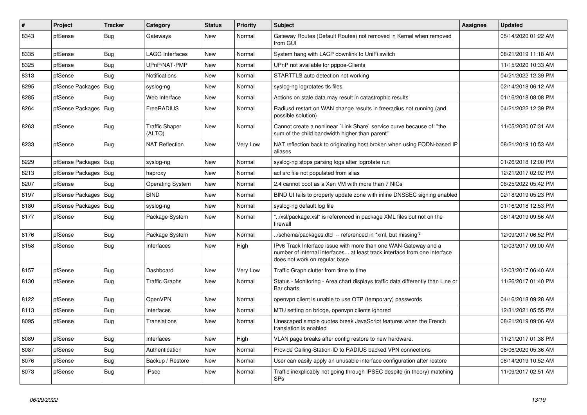| $\vert$ # | Project                | <b>Tracker</b> | Category                        | <b>Status</b> | <b>Priority</b> | Subject                                                                                                                                                                       | Assignee | <b>Updated</b>      |
|-----------|------------------------|----------------|---------------------------------|---------------|-----------------|-------------------------------------------------------------------------------------------------------------------------------------------------------------------------------|----------|---------------------|
| 8343      | pfSense                | <b>Bug</b>     | Gateways                        | New           | Normal          | Gateway Routes (Default Routes) not removed in Kernel when removed<br>from GUI                                                                                                |          | 05/14/2020 01:22 AM |
| 8335      | pfSense                | <b>Bug</b>     | <b>LAGG Interfaces</b>          | New           | Normal          | System hang with LACP downlink to UniFi switch                                                                                                                                |          | 08/21/2019 11:18 AM |
| 8325      | pfSense                | <b>Bug</b>     | UPnP/NAT-PMP                    | New           | Normal          | UPnP not available for pppoe-Clients                                                                                                                                          |          | 11/15/2020 10:33 AM |
| 8313      | pfSense                | <b>Bug</b>     | Notifications                   | New           | Normal          | STARTTLS auto detection not working                                                                                                                                           |          | 04/21/2022 12:39 PM |
| 8295      | pfSense Packages       | Bug            | syslog-ng                       | New           | Normal          | syslog-ng logrotates tls files                                                                                                                                                |          | 02/14/2018 06:12 AM |
| 8285      | pfSense                | <b>Bug</b>     | Web Interface                   | New           | Normal          | Actions on stale data may result in catastrophic results                                                                                                                      |          | 01/16/2018 08:08 PM |
| 8264      | pfSense Packages       | Bug            | FreeRADIUS                      | New           | Normal          | Radiusd restart on WAN change results in freeradius not running (and<br>possible solution)                                                                                    |          | 04/21/2022 12:39 PM |
| 8263      | pfSense                | <b>Bug</b>     | <b>Traffic Shaper</b><br>(ALTQ) | New           | Normal          | Cannot create a nonlinear `Link Share` service curve because of: "the<br>sum of the child bandwidth higher than parent"                                                       |          | 11/05/2020 07:31 AM |
| 8233      | pfSense                | <b>Bug</b>     | <b>NAT Reflection</b>           | New           | Very Low        | NAT reflection back to originating host broken when using FQDN-based IP<br>aliases                                                                                            |          | 08/21/2019 10:53 AM |
| 8229      | pfSense Packages   Bug |                | syslog-ng                       | New           | Normal          | syslog-ng stops parsing logs after logrotate run                                                                                                                              |          | 01/26/2018 12:00 PM |
| 8213      | pfSense Packages   Bug |                | haproxy                         | New           | Normal          | acl src file not populated from alias                                                                                                                                         |          | 12/21/2017 02:02 PM |
| 8207      | pfSense                | <b>Bug</b>     | <b>Operating System</b>         | New           | Normal          | 2.4 cannot boot as a Xen VM with more than 7 NICs                                                                                                                             |          | 06/25/2022 05:42 PM |
| 8197      | pfSense Packages       | Bug            | <b>BIND</b>                     | New           | Normal          | BIND UI fails to properly update zone with inline DNSSEC signing enabled                                                                                                      |          | 02/18/2019 05:23 PM |
| 8180      | pfSense Packages   Bug |                | syslog-ng                       | New           | Normal          | syslog-ng default log file                                                                                                                                                    |          | 01/16/2018 12:53 PM |
| 8177      | pfSense                | <b>Bug</b>     | Package System                  | New           | Normal          | "/xsl/package.xsl" is referenced in package XML files but not on the<br>firewall                                                                                              |          | 08/14/2019 09:56 AM |
| 8176      | pfSense                | <b>Bug</b>     | Package System                  | New           | Normal          | ./schema/packages.dtd -- referenced in *xml, but missing?                                                                                                                     |          | 12/09/2017 06:52 PM |
| 8158      | pfSense                | <b>Bug</b>     | Interfaces                      | New           | High            | IPv6 Track Interface issue with more than one WAN-Gateway and a<br>number of internal interfaces at least track interface from one interface<br>does not work on regular base |          | 12/03/2017 09:00 AM |
| 8157      | pfSense                | <b>Bug</b>     | Dashboard                       | New           | Very Low        | Traffic Graph clutter from time to time                                                                                                                                       |          | 12/03/2017 06:40 AM |
| 8130      | pfSense                | <b>Bug</b>     | <b>Traffic Graphs</b>           | New           | Normal          | Status - Monitoring - Area chart displays traffic data differently than Line or<br>Bar charts                                                                                 |          | 11/26/2017 01:40 PM |
| 8122      | pfSense                | <b>Bug</b>     | <b>OpenVPN</b>                  | New           | Normal          | openvpn client is unable to use OTP (temporary) passwords                                                                                                                     |          | 04/16/2018 09:28 AM |
| 8113      | pfSense                | <b>Bug</b>     | Interfaces                      | <b>New</b>    | Normal          | MTU setting on bridge, openvpn clients ignored                                                                                                                                |          | 12/31/2021 05:55 PM |
| 8095      | pfSense                | <b>Bug</b>     | Translations                    | New           | Normal          | Unescaped simple quotes break JavaScript features when the French<br>translation is enabled                                                                                   |          | 08/21/2019 09:06 AM |
| 8089      | pfSense                | <b>Bug</b>     | Interfaces                      | New           | High            | VLAN page breaks after config restore to new hardware.                                                                                                                        |          | 11/21/2017 01:38 PM |
| 8087      | pfSense                | <b>Bug</b>     | Authentication                  | New           | Normal          | Provide Calling-Station-ID to RADIUS backed VPN connections                                                                                                                   |          | 06/06/2020 05:36 AM |
| 8076      | pfSense                | Bug            | Backup / Restore                | New           | Normal          | User can easily apply an unusable interface configuration after restore                                                                                                       |          | 08/14/2019 10:52 AM |
| 8073      | pfSense                | <b>Bug</b>     | <b>IPsec</b>                    | New           | Normal          | Traffic inexplicably not going through IPSEC despite (in theory) matching<br>SPs                                                                                              |          | 11/09/2017 02:51 AM |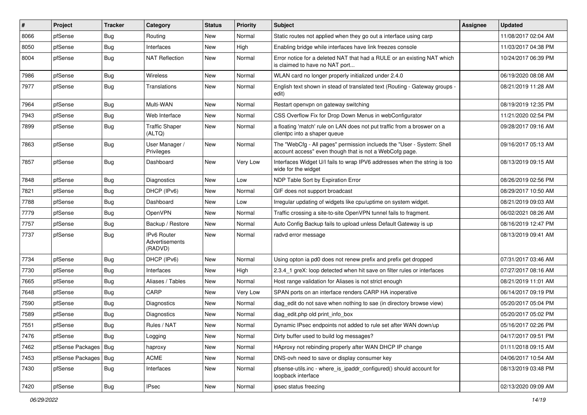| $\pmb{\sharp}$ | Project                | <b>Tracker</b> | Category                                        | <b>Status</b> | <b>Priority</b> | <b>Subject</b>                                                                                                                    | Assignee | <b>Updated</b>      |
|----------------|------------------------|----------------|-------------------------------------------------|---------------|-----------------|-----------------------------------------------------------------------------------------------------------------------------------|----------|---------------------|
| 8066           | pfSense                | <b>Bug</b>     | Routing                                         | New           | Normal          | Static routes not applied when they go out a interface using carp                                                                 |          | 11/08/2017 02:04 AM |
| 8050           | pfSense                | Bug            | Interfaces                                      | New           | High            | Enabling bridge while interfaces have link freezes console                                                                        |          | 11/03/2017 04:38 PM |
| 8004           | pfSense                | Bug            | <b>NAT Reflection</b>                           | New           | Normal          | Error notice for a deleted NAT that had a RULE or an existing NAT which<br>is claimed to have no NAT port                         |          | 10/24/2017 06:39 PM |
| 7986           | pfSense                | Bug            | Wireless                                        | <b>New</b>    | Normal          | WLAN card no longer properly initialized under 2.4.0                                                                              |          | 06/19/2020 08:08 AM |
| 7977           | pfSense                | Bug            | Translations                                    | New           | Normal          | English text shown in stead of translated text (Routing - Gateway groups -<br>edit)                                               |          | 08/21/2019 11:28 AM |
| 7964           | pfSense                | Bug            | Multi-WAN                                       | <b>New</b>    | Normal          | Restart openvpn on gateway switching                                                                                              |          | 08/19/2019 12:35 PM |
| 7943           | pfSense                | <b>Bug</b>     | Web Interface                                   | New           | Normal          | CSS Overflow Fix for Drop Down Menus in webConfigurator                                                                           |          | 11/21/2020 02:54 PM |
| 7899           | pfSense                | Bug            | <b>Traffic Shaper</b><br>(ALTQ)                 | New           | Normal          | a floating 'match' rule on LAN does not put traffic from a broswer on a<br>clientpc into a shaper queue                           |          | 09/28/2017 09:16 AM |
| 7863           | pfSense                | Bug            | User Manager /<br>Privileges                    | New           | Normal          | The "WebCfg - All pages" permission inclueds the "User - System: Shell<br>account access" even though that is not a WebCofg page. |          | 09/16/2017 05:13 AM |
| 7857           | pfSense                | Bug            | Dashboard                                       | New           | Very Low        | Interfaces Widget U/I fails to wrap IPV6 addresses when the string is too<br>wide for the widget                                  |          | 08/13/2019 09:15 AM |
| 7848           | pfSense                | Bug            | Diagnostics                                     | <b>New</b>    | Low             | NDP Table Sort by Expiration Error                                                                                                |          | 08/26/2019 02:56 PM |
| 7821           | pfSense                | <b>Bug</b>     | DHCP (IPv6)                                     | New           | Normal          | GIF does not support broadcast                                                                                                    |          | 08/29/2017 10:50 AM |
| 7788           | pfSense                | Bug            | Dashboard                                       | New           | Low             | Irregular updating of widgets like cpu/uptime on system widget.                                                                   |          | 08/21/2019 09:03 AM |
| 7779           | pfSense                | <b>Bug</b>     | OpenVPN                                         | New           | Normal          | Traffic crossing a site-to-site OpenVPN tunnel fails to fragment.                                                                 |          | 06/02/2021 08:26 AM |
| 7757           | pfSense                | <b>Bug</b>     | Backup / Restore                                | <b>New</b>    | Normal          | Auto Config Backup fails to upload unless Default Gateway is up                                                                   |          | 08/16/2019 12:47 PM |
| 7737           | pfSense                | Bug            | <b>IPv6 Router</b><br>Advertisements<br>(RADVD) | <b>New</b>    | Normal          | radvd error message                                                                                                               |          | 08/13/2019 09:41 AM |
| 7734           | pfSense                | <b>Bug</b>     | DHCP (IPv6)                                     | <b>New</b>    | Normal          | Using opton ia pd0 does not renew prefix and prefix get dropped                                                                   |          | 07/31/2017 03:46 AM |
| 7730           | pfSense                | <b>Bug</b>     | Interfaces                                      | New           | High            | 2.3.4 1 greX: loop detected when hit save on filter rules or interfaces                                                           |          | 07/27/2017 08:16 AM |
| 7665           | pfSense                | Bug            | Aliases / Tables                                | New           | Normal          | Host range validation for Aliases is not strict enough                                                                            |          | 08/21/2019 11:01 AM |
| 7648           | pfSense                | Bug            | CARP                                            | New           | Very Low        | SPAN ports on an interface renders CARP HA inoperative                                                                            |          | 06/14/2017 09:19 PM |
| 7590           | pfSense                | Bug            | Diagnostics                                     | New           | Normal          | diag edit do not save when nothing to sae (in directory browse view)                                                              |          | 05/20/2017 05:04 PM |
| 7589           | pfSense                | Bug            | Diagnostics                                     | New           | Normal          | diag edit.php old print info box                                                                                                  |          | 05/20/2017 05:02 PM |
| 7551           | pfSense                | <b>Bug</b>     | Rules / NAT                                     | New           | Normal          | Dynamic IPsec endpoints not added to rule set after WAN down/up                                                                   |          | 05/16/2017 02:26 PM |
| 7476           | pfSense                | <b>Bug</b>     | Logging                                         | New           | Normal          | Dirty buffer used to build log messages?                                                                                          |          | 04/17/2017 09:51 PM |
| 7462           | pfSense Packages       | Bug            | haproxy                                         | New           | Normal          | HAproxy not rebinding properly after WAN DHCP IP change                                                                           |          | 01/11/2018 09:15 AM |
| 7453           | pfSense Packages   Bug |                | ACME                                            | New           | Normal          | DNS-ovh need to save or display consumer key                                                                                      |          | 04/06/2017 10:54 AM |
| 7430           | pfSense                | <b>Bug</b>     | Interfaces                                      | New           | Normal          | pfsense-utils.inc - where_is_ipaddr_configured() should account for<br>loopback interface                                         |          | 08/13/2019 03:48 PM |
| 7420           | pfSense                | Bug            | <b>IPsec</b>                                    | New           | Normal          | ipsec status freezing                                                                                                             |          | 02/13/2020 09:09 AM |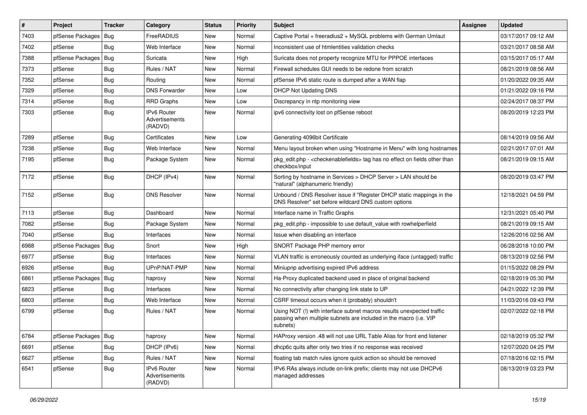| $\pmb{\sharp}$ | Project                | <b>Tracker</b> | Category                                        | <b>Status</b> | <b>Priority</b> | Subject                                                                                                                                                | Assignee | <b>Updated</b>      |
|----------------|------------------------|----------------|-------------------------------------------------|---------------|-----------------|--------------------------------------------------------------------------------------------------------------------------------------------------------|----------|---------------------|
| 7403           | pfSense Packages       | Bug            | FreeRADIUS                                      | New           | Normal          | Captive Portal + freeradius2 + MySQL problems with German Umlaut                                                                                       |          | 03/17/2017 09:12 AM |
| 7402           | pfSense                | Bug            | Web Interface                                   | <b>New</b>    | Normal          | Inconsistent use of htmlentities validation checks                                                                                                     |          | 03/21/2017 08:58 AM |
| 7388           | pfSense Packages       | Bug            | Suricata                                        | New           | High            | Suricata does not property recognize MTU for PPPOE interfaces                                                                                          |          | 03/15/2017 05:17 AM |
| 7373           | pfSense                | <b>Bug</b>     | Rules / NAT                                     | New           | Normal          | Firewall schedules GUI needs to be redone from scratch                                                                                                 |          | 08/21/2019 08:56 AM |
| 7352           | pfSense                | <b>Bug</b>     | Routing                                         | New           | Normal          | pfSense IPv6 static route is dumped after a WAN flap                                                                                                   |          | 01/20/2022 09:35 AM |
| 7329           | pfSense                | <b>Bug</b>     | <b>DNS Forwarder</b>                            | New           | Low             | DHCP Not Updating DNS                                                                                                                                  |          | 01/21/2022 09:16 PM |
| 7314           | pfSense                | Bug            | <b>RRD Graphs</b>                               | New           | Low             | Discrepancy in ntp monitoring view                                                                                                                     |          | 02/24/2017 08:37 PM |
| 7303           | pfSense                | Bug            | IPv6 Router<br>Advertisements<br>(RADVD)        | New           | Normal          | ipv6 connectivity lost on pfSense reboot                                                                                                               |          | 08/20/2019 12:23 PM |
| 7289           | pfSense                | <b>Bug</b>     | Certificates                                    | New           | Low             | Generating 4096bit Certificate                                                                                                                         |          | 08/14/2019 09:56 AM |
| 7238           | pfSense                | <b>Bug</b>     | Web Interface                                   | New           | Normal          | Menu layout broken when using "Hostname in Menu" with long hostnames                                                                                   |          | 02/21/2017 07:01 AM |
| 7195           | pfSense                | Bug            | Package System                                  | New           | Normal          | pkg_edit.php - < checkenablefields> tag has no effect on fields other than<br>checkbox/input                                                           |          | 08/21/2019 09:15 AM |
| 7172           | pfSense                | Bug            | DHCP (IPv4)                                     | New           | Normal          | Sorting by hostname in Services > DHCP Server > LAN should be<br>"natural" (alphanumeric friendly)                                                     |          | 08/20/2019 03:47 PM |
| 7152           | pfSense                | <b>Bug</b>     | <b>DNS Resolver</b>                             | New           | Normal          | Unbound / DNS Resolver issue if "Register DHCP static mappings in the<br>DNS Resolver" set before wildcard DNS custom options                          |          | 12/18/2021 04:59 PM |
| 7113           | pfSense                | <b>Bug</b>     | Dashboard                                       | <b>New</b>    | Normal          | Interface name in Traffic Graphs                                                                                                                       |          | 12/31/2021 05:40 PM |
| 7082           | pfSense                | <b>Bug</b>     | Package System                                  | New           | Normal          | pkg_edit.php - impossible to use default_value with rowhelperfield                                                                                     |          | 08/21/2019 09:15 AM |
| 7040           | pfSense                | Bug            | Interfaces                                      | New           | Normal          | Issue when disabling an interface                                                                                                                      |          | 12/26/2016 02:56 AM |
| 6988           | pfSense Packages       | Bug            | Snort                                           | New           | High            | SNORT Package PHP memory error                                                                                                                         |          | 06/28/2018 10:00 PM |
| 6977           | pfSense                | Bug            | Interfaces                                      | New           | Normal          | VLAN traffic is erroneously counted as underlying iface (untagged) traffic                                                                             |          | 08/13/2019 02:56 PM |
| 6926           | pfSense                | Bug            | UPnP/NAT-PMP                                    | New           | Normal          | Miniupnp advertising expired IPv6 address                                                                                                              |          | 01/15/2022 08:29 PM |
| 6861           | pfSense Packages       | Bug            | haproxy                                         | New           | Normal          | Ha-Proxy duplicated backend used in place of original backend                                                                                          |          | 02/18/2019 05:30 PM |
| 6823           | pfSense                | <b>Bug</b>     | Interfaces                                      | New           | Normal          | No connectivity after changing link state to UP                                                                                                        |          | 04/21/2022 12:39 PM |
| 6803           | pfSense                | Bug            | Web Interface                                   | New           | Normal          | CSRF timeout occurs when it (probably) shouldn't                                                                                                       |          | 11/03/2016 09:43 PM |
| 6799           | pfSense                | Bug            | Rules / NAT                                     | New           | Normal          | Using NOT (!) with interface subnet macros results unexpected traffic<br>passing when multiple subnets are included in the macro (i.e. VIP<br>subnets) |          | 02/07/2022 02:18 PM |
| 6784           | pfSense Packages   Bug |                | haproxy                                         | New           | Normal          | HAProxy version .48 will not use URL Table Alias for front end listener                                                                                |          | 02/18/2019 05:32 PM |
| 6691           | pfSense                | <b>Bug</b>     | DHCP (IPv6)                                     | New           | Normal          | dhcp6c quits after only two tries if no response was received                                                                                          |          | 12/07/2020 04:25 PM |
| 6627           | pfSense                | Bug            | Rules / NAT                                     | New           | Normal          | floating tab match rules ignore quick action so should be removed                                                                                      |          | 07/18/2016 02:15 PM |
| 6541           | pfSense                | <b>Bug</b>     | <b>IPv6 Router</b><br>Advertisements<br>(RADVD) | New           | Normal          | IPv6 RAs always include on-link prefix; clients may not use DHCPv6<br>managed addresses                                                                |          | 08/13/2019 03:23 PM |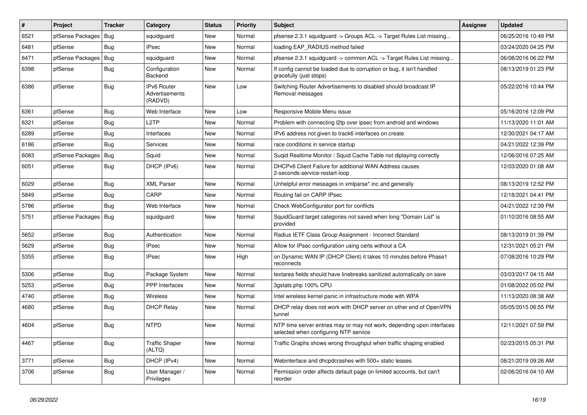| $\vert$ # | Project          | <b>Tracker</b> | Category                                 | <b>Status</b> | <b>Priority</b> | Subject                                                                                                         | <b>Assignee</b> | <b>Updated</b>      |
|-----------|------------------|----------------|------------------------------------------|---------------|-----------------|-----------------------------------------------------------------------------------------------------------------|-----------------|---------------------|
| 6521      | pfSense Packages | Bug            | squidguard                               | New           | Normal          | pfsense 2.3.1 squidguard -> Groups ACL -> Target Rules List missing                                             |                 | 06/25/2016 10:49 PM |
| 6481      | pfSense          | Bug            | <b>IPsec</b>                             | New           | Normal          | loading EAP_RADIUS method failed                                                                                |                 | 03/24/2020 04:25 PM |
| 6471      | pfSense Packages | Bug            | squidguard                               | New           | Normal          | pfsense 2.3.1 squidguard -> common ACL -> Target Rules List missing                                             |                 | 06/08/2016 06:22 PM |
| 6398      | pfSense          | <b>Bug</b>     | Configuration<br>Backend                 | New           | Normal          | If config cannot be loaded due to corruption or bug, it isn't handled<br>gracefully (just stops)                |                 | 08/13/2019 01:23 PM |
| 6386      | pfSense          | Bug            | IPv6 Router<br>Advertisements<br>(RADVD) | New           | Low             | Switching Router Advertisements to disabled should broadcast IP<br>Removal messages                             |                 | 05/22/2016 10:44 PM |
| 6361      | pfSense          | <b>Bug</b>     | Web Interface                            | New           | Low             | Responsive Mobile Menu issue                                                                                    |                 | 05/16/2016 12:09 PM |
| 6321      | pfSense          | Bug            | L <sub>2</sub> TP                        | New           | Normal          | Problem with connecting I2tp over ipsec from android and windows                                                |                 | 11/13/2020 11:01 AM |
| 6289      | pfSense          | <b>Bug</b>     | Interfaces                               | New           | Normal          | IPv6 address not given to track6 interfaces on create                                                           |                 | 12/30/2021 04:17 AM |
| 6186      | pfSense          | Bug            | Services                                 | New           | Normal          | race conditions in service startup                                                                              |                 | 04/21/2022 12:39 PM |
| 6083      | pfSense Packages | Bug            | Squid                                    | New           | Normal          | Sugid Realtime Monitor / Squid Cache Table not diplaying correctly                                              |                 | 12/06/2016 07:25 AM |
| 6051      | pfSense          | Bug            | DHCP (IPv6)                              | New           | Normal          | DHCPv6 Client Failure for additional WAN Address causes<br>2-seconds-service-restart-loop                       |                 | 12/03/2020 01:08 AM |
| 6029      | pfSense          | <b>Bug</b>     | <b>XML Parser</b>                        | New           | Normal          | Unhelpful error messages in xmlparse*.inc and generally                                                         |                 | 08/13/2019 12:52 PM |
| 5849      | pfSense          | <b>Bug</b>     | CARP                                     | New           | Normal          | Routing fail on CARP IPsec                                                                                      |                 | 12/18/2021 04:41 PM |
| 5786      | pfSense          | <b>Bug</b>     | Web Interface                            | New           | Normal          | Check WebConfigurator port for conflicts                                                                        |                 | 04/21/2022 12:39 PM |
| 5751      | pfSense Packages | Bug            | squidguard                               | New           | Normal          | SquidGuard target categories not saved when long "Domain List" is<br>provided                                   |                 | 01/10/2016 08:55 AM |
| 5652      | pfSense          | Bug            | Authentication                           | New           | Normal          | Radius IETF Class Group Assignment - Incorrect Standard                                                         |                 | 08/13/2019 01:39 PM |
| 5629      | pfSense          | <b>Bug</b>     | <b>IPsec</b>                             | New           | Normal          | Allow for IPsec configuration using certs without a CA                                                          |                 | 12/31/2021 05:21 PM |
| 5355      | pfSense          | <b>Bug</b>     | <b>IPsec</b>                             | New           | High            | on Dynamic WAN IP (DHCP Client) it takes 10 minutes before Phase1<br>reconnects                                 |                 | 07/08/2016 10:29 PM |
| 5306      | pfSense          | Bug            | Package System                           | New           | Normal          | textarea fields should have linebreaks sanitized automatically on save                                          |                 | 03/03/2017 04:15 AM |
| 5253      | pfSense          | <b>Bug</b>     | <b>PPP</b> Interfaces                    | New           | Normal          | 3gstats.php 100% CPU                                                                                            |                 | 01/08/2022 05:02 PM |
| 4740      | pfSense          | <b>Bug</b>     | Wireless                                 | New           | Normal          | Intel wireless kernel panic in infrastructure mode with WPA                                                     |                 | 11/13/2020 08:38 AM |
| 4680      | pfSense          | <b>Bug</b>     | <b>DHCP Relay</b>                        | New           | Normal          | DHCP relay does not work with DHCP server on other end of OpenVPN<br>tunnel                                     |                 | 05/05/2015 06:55 PM |
| 4604      | pfSense          | Bug            | <b>NTPD</b>                              | New           | Normal          | NTP time server entries may or may not work, depending upon interfaces<br>selected when configuring NTP service |                 | 12/11/2021 07:59 PM |
| 4467      | pfSense          | Bug            | <b>Traffic Shaper</b><br>(ALTQ)          | New           | Normal          | Traffic Graphs shows wrong throughput when traffic shaping enabled                                              |                 | 02/23/2015 05:31 PM |
| 3771      | pfSense          | Bug            | DHCP (IPv4)                              | New           | Normal          | Webinterface and dhcpdcrashes with 500+ static leases                                                           |                 | 08/21/2019 09:26 AM |
| 3706      | pfSense          | Bug            | User Manager /<br>Privileges             | New           | Normal          | Permission order affects default page on limited accounts, but can't<br>reorder                                 |                 | 02/06/2016 04:10 AM |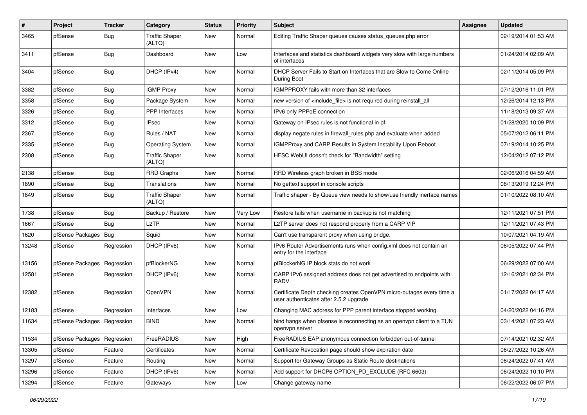| $\vert$ # | Project          | <b>Tracker</b> | Category                        | <b>Status</b> | <b>Priority</b> | <b>Subject</b>                                                                                                  | <b>Assignee</b> | <b>Updated</b>      |
|-----------|------------------|----------------|---------------------------------|---------------|-----------------|-----------------------------------------------------------------------------------------------------------------|-----------------|---------------------|
| 3465      | pfSense          | <b>Bug</b>     | <b>Traffic Shaper</b><br>(ALTQ) | New           | Normal          | Editing Traffic Shaper queues causes status_queues.php error                                                    |                 | 02/19/2014 01:53 AM |
| 3411      | pfSense          | <b>Bug</b>     | Dashboard                       | New           | Low             | Interfaces and statistics dashboard widgets very slow with large numbers<br>of interfaces                       |                 | 01/24/2014 02:09 AM |
| 3404      | pfSense          | <b>Bug</b>     | DHCP (IPv4)                     | <b>New</b>    | Normal          | DHCP Server Fails to Start on Interfaces that are Slow to Come Online<br>During Boot                            |                 | 02/11/2014 05:09 PM |
| 3382      | pfSense          | <b>Bug</b>     | <b>IGMP Proxy</b>               | <b>New</b>    | Normal          | IGMPPROXY fails with more than 32 interfaces                                                                    |                 | 07/12/2016 11:01 PM |
| 3358      | pfSense          | Bug            | Package System                  | New           | Normal          | new version of <include_file> is not required during reinstall_all</include_file>                               |                 | 12/26/2014 12:13 PM |
| 3326      | pfSense          | Bug            | <b>PPP</b> Interfaces           | New           | Normal          | IPv6 only PPPoE connection                                                                                      |                 | 11/18/2013 09:37 AM |
| 3312      | pfSense          | <b>Bug</b>     | <b>IPsec</b>                    | New           | Normal          | Gateway on IPsec rules is not functional in pf                                                                  |                 | 01/28/2020 10:09 PM |
| 2367      | pfSense          | <b>Bug</b>     | Rules / NAT                     | New           | Normal          | display negate rules in firewall_rules.php and evaluate when added                                              |                 | 05/07/2012 06:11 PM |
| 2335      | pfSense          | <b>Bug</b>     | <b>Operating System</b>         | New           | Normal          | IGMPProxy and CARP Results in System Instability Upon Reboot                                                    |                 | 07/19/2014 10:25 PM |
| 2308      | pfSense          | Bug            | <b>Traffic Shaper</b><br>(ALTQ) | <b>New</b>    | Normal          | HFSC WebUI doesn't check for "Bandwidth" setting                                                                |                 | 12/04/2012 07:12 PM |
| 2138      | pfSense          | <b>Bug</b>     | <b>RRD Graphs</b>               | New           | Normal          | RRD Wireless graph broken in BSS mode                                                                           |                 | 02/06/2016 04:59 AM |
| 1890      | pfSense          | Bug            | Translations                    | New           | Normal          | No gettext support in console scripts                                                                           |                 | 08/13/2019 12:24 PM |
| 1849      | pfSense          | <b>Bug</b>     | <b>Traffic Shaper</b><br>(ALTQ) | <b>New</b>    | Normal          | Traffic shaper - By Queue view needs to show/use friendly inerface names                                        |                 | 01/10/2022 08:10 AM |
| 1738      | pfSense          | <b>Bug</b>     | Backup / Restore                | New           | Very Low        | Restore fails when username in backup is not matching                                                           |                 | 12/11/2021 07:51 PM |
| 1667      | pfSense          | Bug            | L <sub>2</sub> TP               | New           | Normal          | L2TP server does not respond properly from a CARP VIP                                                           |                 | 12/11/2021 07:43 PM |
| 1620      | pfSense Packages | Bug            | Squid                           | <b>New</b>    | Normal          | Can't use transparent proxy when using bridge.                                                                  |                 | 10/07/2021 04:19 AM |
| 13248     | pfSense          | Regression     | DHCP (IPv6)                     | New           | Normal          | IPv6 Router Advertisements runs when config.xml does not contain an<br>entry for the interface                  |                 | 06/05/2022 07:44 PM |
| 13156     | pfSense Packages | Regression     | pfBlockerNG                     | New           | Normal          | pfBlockerNG IP block stats do not work                                                                          |                 | 06/29/2022 07:00 AM |
| 12581     | pfSense          | Regression     | DHCP (IPv6)                     | <b>New</b>    | Normal          | CARP IPv6 assigned address does not get advertised to endpoints with<br><b>RADV</b>                             |                 | 12/16/2021 02:34 PM |
| 12382     | pfSense          | Regression     | OpenVPN                         | New           | Normal          | Certificate Depth checking creates OpenVPN micro-outages every time a<br>user authenticates after 2.5.2 upgrade |                 | 01/17/2022 04:17 AM |
| 12183     | pfSense          | Regression     | Interfaces                      | <b>New</b>    | Low             | Changing MAC address for PPP parent interface stopped working                                                   |                 | 04/20/2022 04:16 PM |
| 11634     | pfSense Packages | Regression     | <b>BIND</b>                     | New           | Normal          | bind hangs when pfsense is reconnecting as an openypn client to a TUN<br>openvpn server                         |                 | 03/14/2021 07:23 AM |
| 11534     | pfSense Packages | Regression     | FreeRADIUS                      | New           | High            | FreeRADIUS EAP anonymous connection forbidden out-of-tunnel                                                     |                 | 07/14/2021 02:32 AM |
| 13305     | pfSense          | Feature        | Certificates                    | New           | Normal          | Certificate Revocation page should show expiration date                                                         |                 | 06/27/2022 10:26 AM |
| 13297     | pfSense          | Feature        | Routing                         | New           | Normal          | Support for Gateway Groups as Static Route destinations                                                         |                 | 06/24/2022 07:41 AM |
| 13296     | pfSense          | Feature        | DHCP (IPv6)                     | New           | Normal          | Add support for DHCP6 OPTION_PD_EXCLUDE (RFC 6603)                                                              |                 | 06/24/2022 10:10 PM |
| 13294     | pfSense          | Feature        | Gateways                        | New           | Low             | Change gateway name                                                                                             |                 | 06/22/2022 06:07 PM |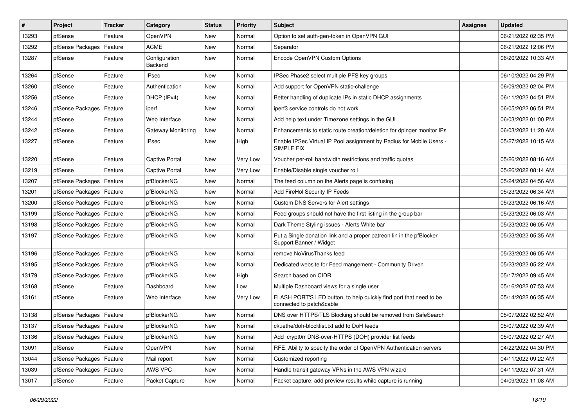| #     | Project                    | Tracker | Category                        | <b>Status</b> | <b>Priority</b> | <b>Subject</b>                                                                                  | <b>Assignee</b> | <b>Updated</b>      |
|-------|----------------------------|---------|---------------------------------|---------------|-----------------|-------------------------------------------------------------------------------------------------|-----------------|---------------------|
| 13293 | pfSense                    | Feature | <b>OpenVPN</b>                  | <b>New</b>    | Normal          | Option to set auth-gen-token in OpenVPN GUI                                                     |                 | 06/21/2022 02:35 PM |
| 13292 | pfSense Packages           | Feature | <b>ACME</b>                     | New           | Normal          | Separator                                                                                       |                 | 06/21/2022 12:06 PM |
| 13287 | pfSense                    | Feature | Configuration<br><b>Backend</b> | New           | Normal          | Encode OpenVPN Custom Options                                                                   |                 | 06/20/2022 10:33 AM |
| 13264 | pfSense                    | Feature | <b>IPsec</b>                    | <b>New</b>    | Normal          | IPSec Phase2 select multiple PFS key groups                                                     |                 | 06/10/2022 04:29 PM |
| 13260 | pfSense                    | Feature | Authentication                  | New           | Normal          | Add support for OpenVPN static-challenge                                                        |                 | 06/09/2022 02:04 PM |
| 13256 | pfSense                    | Feature | DHCP (IPv4)                     | <b>New</b>    | Normal          | Better handling of duplicate IPs in static DHCP assignments                                     |                 | 06/11/2022 04:51 PM |
| 13246 | pfSense Packages           | Feature | iperf                           | New           | Normal          | iperf3 service controls do not work                                                             |                 | 06/05/2022 06:51 PM |
| 13244 | pfSense                    | Feature | Web Interface                   | New           | Normal          | Add help text under Timezone settings in the GUI                                                |                 | 06/03/2022 01:00 PM |
| 13242 | pfSense                    | Feature | <b>Gateway Monitoring</b>       | New           | Normal          | Enhancements to static route creation/deletion for dpinger monitor IPs                          |                 | 06/03/2022 11:20 AM |
| 13227 | pfSense                    | Feature | IPsec                           | New           | High            | Enable IPSec Virtual IP Pool assignment by Radius for Mobile Users -<br><b>SIMPLE FIX</b>       |                 | 05/27/2022 10:15 AM |
| 13220 | pfSense                    | Feature | Captive Portal                  | <b>New</b>    | Very Low        | Voucher per-roll bandwidth restrictions and traffic quotas                                      |                 | 05/26/2022 08:16 AM |
| 13219 | pfSense                    | Feature | Captive Portal                  | New           | Very Low        | Enable/Disable single voucher roll                                                              |                 | 05/26/2022 08:14 AM |
| 13207 | pfSense Packages           | Feature | pfBlockerNG                     | <b>New</b>    | Normal          | The feed column on the Alerts page is confusing                                                 |                 | 05/24/2022 04:56 AM |
| 13201 | pfSense Packages           | Feature | pfBlockerNG                     | New           | Normal          | Add FireHol Security IP Feeds                                                                   |                 | 05/23/2022 06:34 AM |
| 13200 | pfSense Packages           | Feature | pfBlockerNG                     | New           | Normal          | Custom DNS Servers for Alert settings                                                           |                 | 05/23/2022 06:16 AM |
| 13199 | pfSense Packages           | Feature | pfBlockerNG                     | New           | Normal          | Feed groups should not have the first listing in the group bar                                  |                 | 05/23/2022 06:03 AM |
| 13198 | pfSense Packages           | Feature | pfBlockerNG                     | New           | Normal          | Dark Theme Styling issues - Alerts White bar                                                    |                 | 05/23/2022 06:05 AM |
| 13197 | pfSense Packages           | Feature | pfBlockerNG                     | New           | Normal          | Put a Single donation link and a proper patreon lin in the pfBlocker<br>Support Banner / Widget |                 | 05/23/2022 05:35 AM |
| 13196 | pfSense Packages           | Feature | pfBlockerNG                     | <b>New</b>    | Normal          | remove NoVirusThanks feed                                                                       |                 | 05/23/2022 06:05 AM |
| 13195 | pfSense Packages           | Feature | pfBlockerNG                     | New           | Normal          | Dedicated website for Feed mangement - Community Driven                                         |                 | 05/23/2022 05:22 AM |
| 13179 | pfSense Packages           | Feature | pfBlockerNG                     | New           | High            | Search based on CIDR                                                                            |                 | 05/17/2022 09:45 AM |
| 13168 | pfSense                    | Feature | Dashboard                       | New           | Low             | Multiple Dashboard views for a single user                                                      |                 | 05/16/2022 07:53 AM |
| 13161 | pfSense                    | Feature | Web Interface                   | New           | Very Low        | FLASH PORT'S LED button, to help quickly find port that need to be<br>connected to patch&cable  |                 | 05/14/2022 06:35 AM |
| 13138 | pfSense Packages           | Feature | pfBlockerNG                     | New           | Normal          | DNS over HTTPS/TLS Blocking should be removed from SafeSearch                                   |                 | 05/07/2022 02:52 AM |
| 13137 | pfSense Packages   Feature |         | pfBlockerNG                     | New           | Normal          | ckuethe/doh-blocklist.txt add to DoH feeds                                                      |                 | 05/07/2022 02:39 AM |
| 13136 | pfSense Packages   Feature |         | pfBlockerNG                     | New           | Normal          | Add crypt0rr DNS-over-HTTPS (DOH) provider list feeds                                           |                 | 05/07/2022 02:27 AM |
| 13091 | pfSense                    | Feature | <b>OpenVPN</b>                  | New           | Normal          | RFE: Ability to specify the order of OpenVPN Authentication servers                             |                 | 04/22/2022 04:30 PM |
| 13044 | pfSense Packages           | Feature | Mail report                     | New           | Normal          | Customized reporting                                                                            |                 | 04/11/2022 09:22 AM |
| 13039 | pfSense Packages   Feature |         | AWS VPC                         | New           | Normal          | Handle transit gateway VPNs in the AWS VPN wizard                                               |                 | 04/11/2022 07:31 AM |
| 13017 | pfSense                    | Feature | Packet Capture                  | New           | Normal          | Packet capture: add preview results while capture is running                                    |                 | 04/09/2022 11:08 AM |